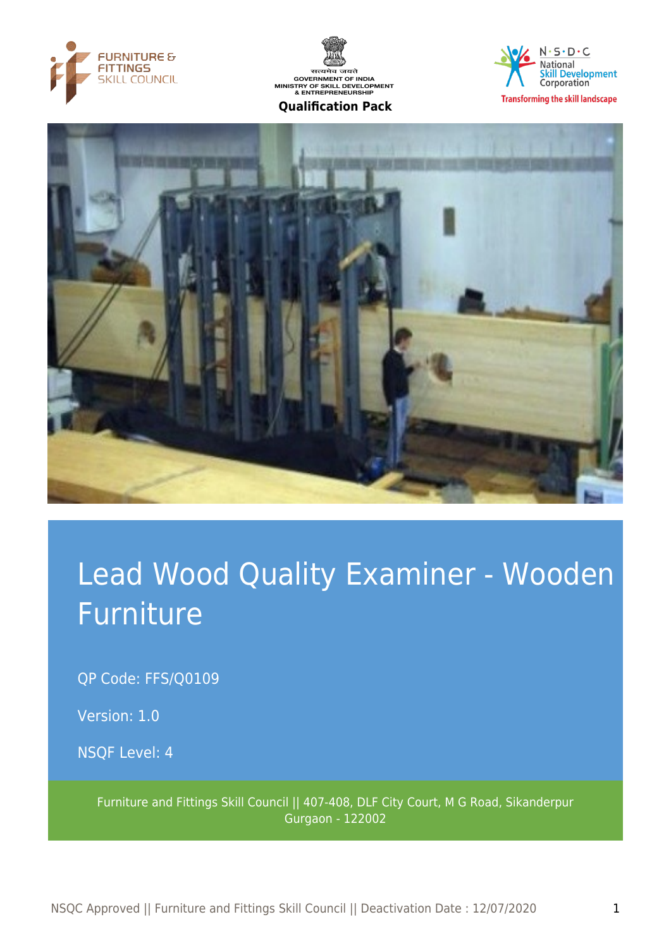







# Lead Wood Quality Examiner - Wooden Furniture

OP Code: FFS/O0109

Version: 1.0

NSQF Level: 4

Furniture and Fittings Skill Council || 407-408, DLF City Court, M G Road, Sikanderpur Gurgaon - 122002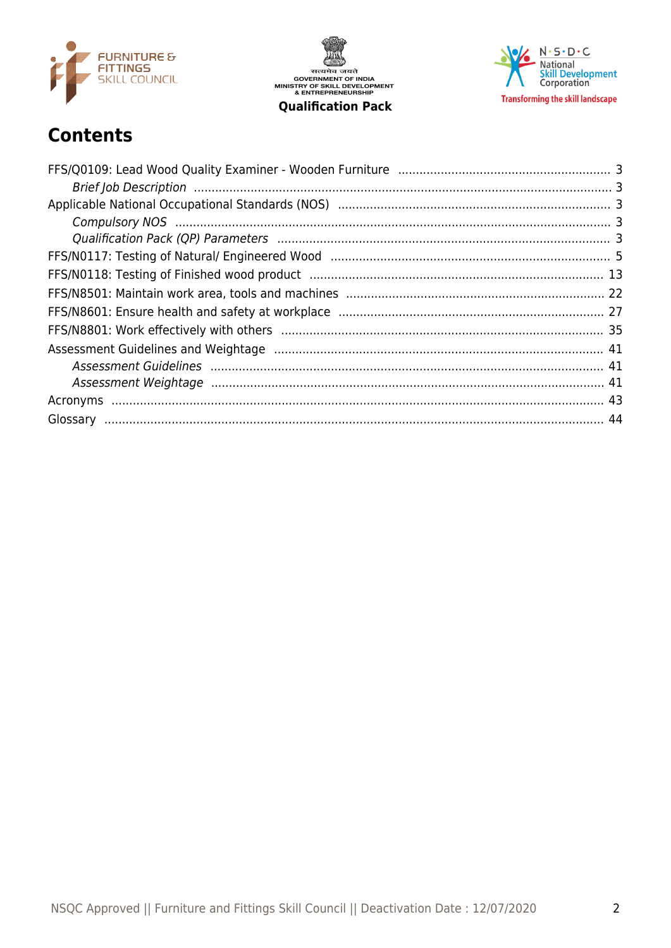

सत्यमेव जयते<br>GOVERNMENT OF INDIA<br>MINISTRY OF SKILL DEVELOPMENT<br>& ENTREPRENEURSHIP **Qualification Pack** 

 $N \cdot S \cdot D \cdot C$ National<br>Skill Development<br>Corporation **Transforming the skill landscape** 

# **Contents**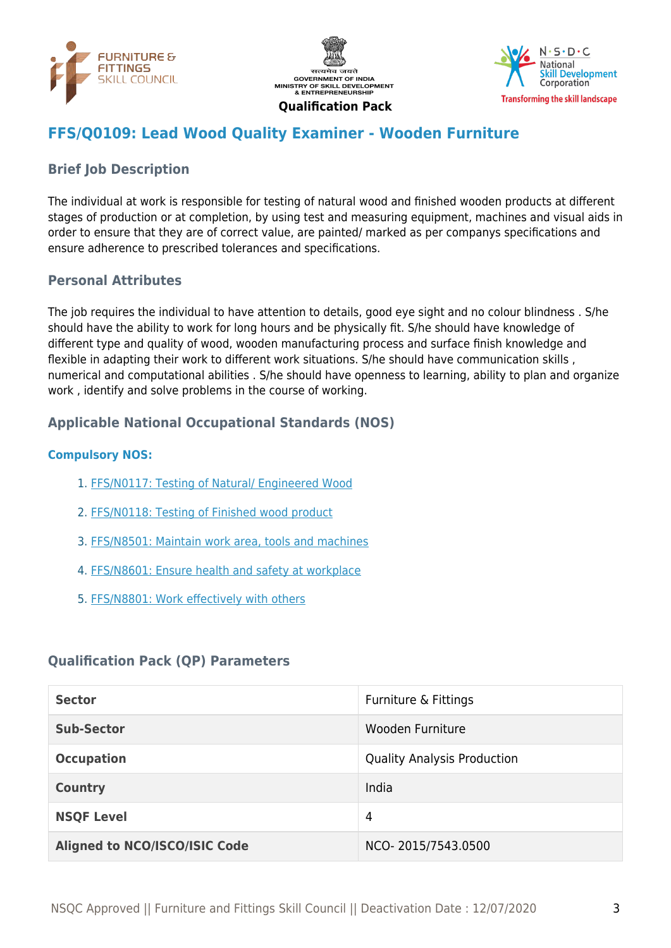





## <span id="page-2-0"></span>**FFS/Q0109: Lead Wood Quality Examiner - Wooden Furniture**

#### <span id="page-2-1"></span>**Brief Job Description**

The individual at work is responsible for testing of natural wood and finished wooden products at different stages of production or at completion, by using test and measuring equipment, machines and visual aids in order to ensure that they are of correct value, are painted/ marked as per companys specifications and ensure adherence to prescribed tolerances and specifications.

#### **Personal Attributes**

The job requires the individual to have attention to details, good eye sight and no colour blindness . S/he should have the ability to work for long hours and be physically fit. S/he should have knowledge of different type and quality of wood, wooden manufacturing process and surface finish knowledge and flexible in adapting their work to different work situations. S/he should have communication skills , numerical and computational abilities . S/he should have openness to learning, ability to plan and organize work , identify and solve problems in the course of working.

#### <span id="page-2-2"></span>**Applicable National Occupational Standards (NOS)**

#### <span id="page-2-3"></span>**Compulsory NOS:**

- 1. [FFS/N0117: Testing of Natural/ Engineered Wood](#page-4-0)
- 2. [FFS/N0118: Testing of Finished wood product](#page-12-0)
- 3. [FFS/N8501: Maintain work area, tools and machines](#page-21-0)
- 4. [FFS/N8601: Ensure health and safety at workplace](#page-26-0)
- 5. [FFS/N8801: Work effectively with others](#page-34-0)

#### <span id="page-2-4"></span>**Qualification Pack (QP) Parameters**

| <b>Sector</b>                        | Furniture & Fittings               |
|--------------------------------------|------------------------------------|
| <b>Sub-Sector</b>                    | Wooden Furniture                   |
| <b>Occupation</b>                    | <b>Quality Analysis Production</b> |
| <b>Country</b>                       | India                              |
| <b>NSQF Level</b>                    | 4                                  |
| <b>Aligned to NCO/ISCO/ISIC Code</b> | NCO-2015/7543.0500                 |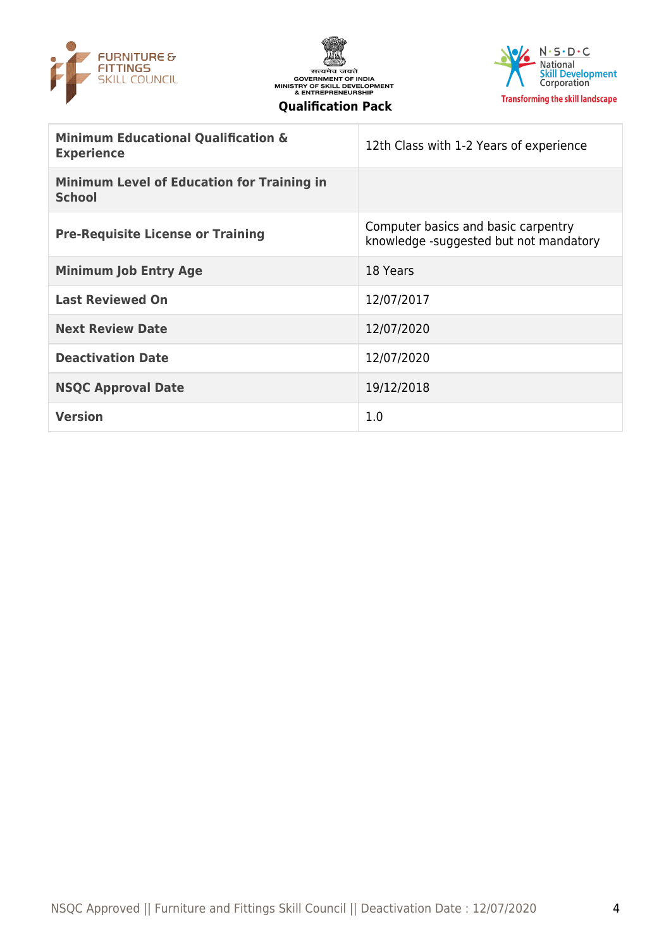





| <b>Minimum Educational Qualification &amp;</b><br><b>Experience</b> | 12th Class with 1-2 Years of experience                                       |
|---------------------------------------------------------------------|-------------------------------------------------------------------------------|
| <b>Minimum Level of Education for Training in</b><br><b>School</b>  |                                                                               |
| <b>Pre-Requisite License or Training</b>                            | Computer basics and basic carpentry<br>knowledge -suggested but not mandatory |
| <b>Minimum Job Entry Age</b>                                        | 18 Years                                                                      |
| <b>Last Reviewed On</b>                                             | 12/07/2017                                                                    |
| <b>Next Review Date</b>                                             | 12/07/2020                                                                    |
| <b>Deactivation Date</b>                                            | 12/07/2020                                                                    |
| <b>NSQC Approval Date</b>                                           | 19/12/2018                                                                    |
| <b>Version</b>                                                      | 1.0                                                                           |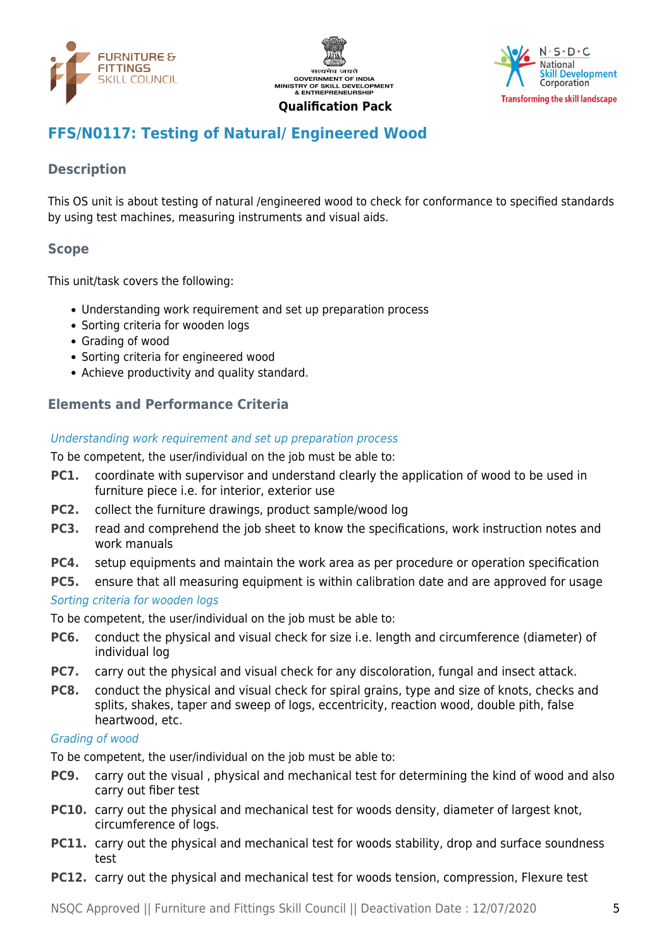





# <span id="page-4-0"></span>**FFS/N0117: Testing of Natural/ Engineered Wood**

#### **Description**

This OS unit is about testing of natural /engineered wood to check for conformance to specified standards by using test machines, measuring instruments and visual aids.

#### **Scope**

This unit/task covers the following:

- Understanding work requirement and set up preparation process
- Sorting criteria for wooden logs
- Grading of wood
- Sorting criteria for engineered wood
- Achieve productivity and quality standard.

#### **Elements and Performance Criteria**

#### Understanding work requirement and set up preparation process

To be competent, the user/individual on the job must be able to:

- **PC1.** coordinate with supervisor and understand clearly the application of wood to be used in furniture piece i.e. for interior, exterior use
- **PC2.** collect the furniture drawings, product sample/wood log
- **PC3.** read and comprehend the job sheet to know the specifications, work instruction notes and work manuals
- **PC4.** setup equipments and maintain the work area as per procedure or operation specification
- **PC5.** ensure that all measuring equipment is within calibration date and are approved for usage

#### Sorting criteria for wooden logs

To be competent, the user/individual on the job must be able to:

- **PC6.** conduct the physical and visual check for size i.e. length and circumference (diameter) of individual log
- **PC7.** carry out the physical and visual check for any discoloration, fungal and insect attack.
- **PC8.** conduct the physical and visual check for spiral grains, type and size of knots, checks and splits, shakes, taper and sweep of logs, eccentricity, reaction wood, double pith, false heartwood, etc.

#### Grading of wood

To be competent, the user/individual on the job must be able to:

- **PC9.** carry out the visual , physical and mechanical test for determining the kind of wood and also carry out fiber test
- **PC10.** carry out the physical and mechanical test for woods density, diameter of largest knot, circumference of logs.
- **PC11.** carry out the physical and mechanical test for woods stability, drop and surface soundness test
- **PC12.** carry out the physical and mechanical test for woods tension, compression, Flexure test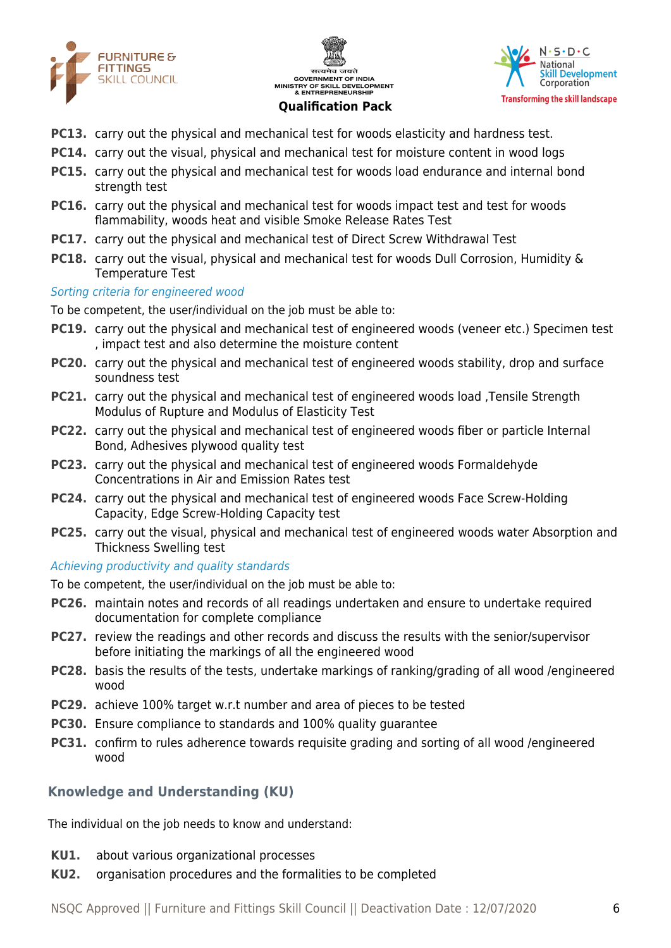





- **PC13.** carry out the physical and mechanical test for woods elasticity and hardness test.
- **PC14.** carry out the visual, physical and mechanical test for moisture content in wood logs
- **PC15.** carry out the physical and mechanical test for woods load endurance and internal bond strength test
- **PC16.** carry out the physical and mechanical test for woods impact test and test for woods flammability, woods heat and visible Smoke Release Rates Test
- **PC17.** carry out the physical and mechanical test of Direct Screw Withdrawal Test
- **PC18.** carry out the visual, physical and mechanical test for woods Dull Corrosion, Humidity & Temperature Test

#### Sorting criteria for engineered wood

To be competent, the user/individual on the job must be able to:

- **PC19.** carry out the physical and mechanical test of engineered woods (veneer etc.) Specimen test , impact test and also determine the moisture content
- **PC20.** carry out the physical and mechanical test of engineered woods stability, drop and surface soundness test
- **PC21.** carry out the physical and mechanical test of engineered woods load ,Tensile Strength Modulus of Rupture and Modulus of Elasticity Test
- **PC22.** carry out the physical and mechanical test of engineered woods fiber or particle Internal Bond, Adhesives plywood quality test
- **PC23.** carry out the physical and mechanical test of engineered woods Formaldehyde Concentrations in Air and Emission Rates test
- **PC24.** carry out the physical and mechanical test of engineered woods Face Screw-Holding Capacity, Edge Screw-Holding Capacity test
- **PC25.** carry out the visual, physical and mechanical test of engineered woods water Absorption and Thickness Swelling test

#### Achieving productivity and quality standards

To be competent, the user/individual on the job must be able to:

- **PC26.** maintain notes and records of all readings undertaken and ensure to undertake required documentation for complete compliance
- **PC27.** review the readings and other records and discuss the results with the senior/supervisor before initiating the markings of all the engineered wood
- **PC28.** basis the results of the tests, undertake markings of ranking/grading of all wood /engineered wood
- **PC29.** achieve 100% target w.r.t number and area of pieces to be tested
- **PC30.** Ensure compliance to standards and 100% quality guarantee
- **PC31.** confirm to rules adherence towards requisite grading and sorting of all wood /engineered wood

#### **Knowledge and Understanding (KU)**

The individual on the job needs to know and understand:

- **KU1.** about various organizational processes
- **KU2.** organisation procedures and the formalities to be completed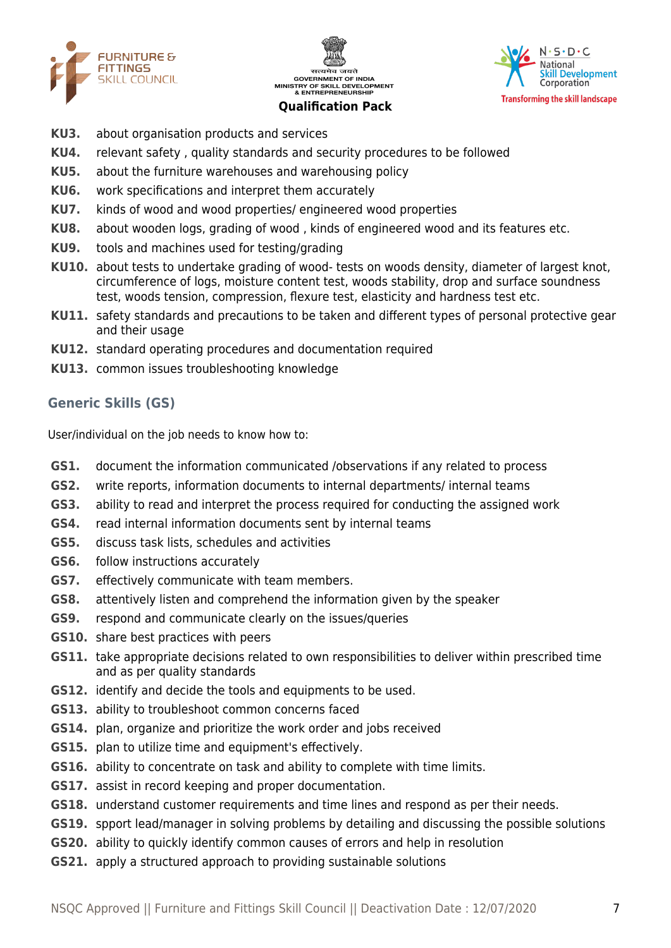





- **KU3.** about organisation products and services
- **KU4.** relevant safety , quality standards and security procedures to be followed
- **KU5.** about the furniture warehouses and warehousing policy
- **KU6.** work specifications and interpret them accurately
- **KU7.** kinds of wood and wood properties/ engineered wood properties
- **KU8.** about wooden logs, grading of wood , kinds of engineered wood and its features etc.
- **KU9.** tools and machines used for testing/grading
- **KU10.** about tests to undertake grading of wood- tests on woods density, diameter of largest knot, circumference of logs, moisture content test, woods stability, drop and surface soundness test, woods tension, compression, flexure test, elasticity and hardness test etc.
- **KU11.** safety standards and precautions to be taken and different types of personal protective gear and their usage
- **KU12.** standard operating procedures and documentation required
- **KU13.** common issues troubleshooting knowledge

#### **Generic Skills (GS)**

User/individual on the job needs to know how to:

- **GS1.** document the information communicated /observations if any related to process
- **GS2.** write reports, information documents to internal departments/ internal teams
- **GS3.** ability to read and interpret the process required for conducting the assigned work
- **GS4.** read internal information documents sent by internal teams
- **GS5.** discuss task lists, schedules and activities
- **GS6.** follow instructions accurately
- **GS7.** effectively communicate with team members.
- **GS8.** attentively listen and comprehend the information given by the speaker
- **GS9.** respond and communicate clearly on the issues/queries
- **GS10.** share best practices with peers
- **GS11.** take appropriate decisions related to own responsibilities to deliver within prescribed time and as per quality standards
- **GS12.** identify and decide the tools and equipments to be used.
- **GS13.** ability to troubleshoot common concerns faced
- **GS14.** plan, organize and prioritize the work order and jobs received
- **GS15.** plan to utilize time and equipment's effectively.
- **GS16.** ability to concentrate on task and ability to complete with time limits.
- **GS17.** assist in record keeping and proper documentation.
- **GS18.** understand customer requirements and time lines and respond as per their needs.
- **GS19.** spport lead/manager in solving problems by detailing and discussing the possible solutions
- **GS20.** ability to quickly identify common causes of errors and help in resolution
- **GS21.** apply a structured approach to providing sustainable solutions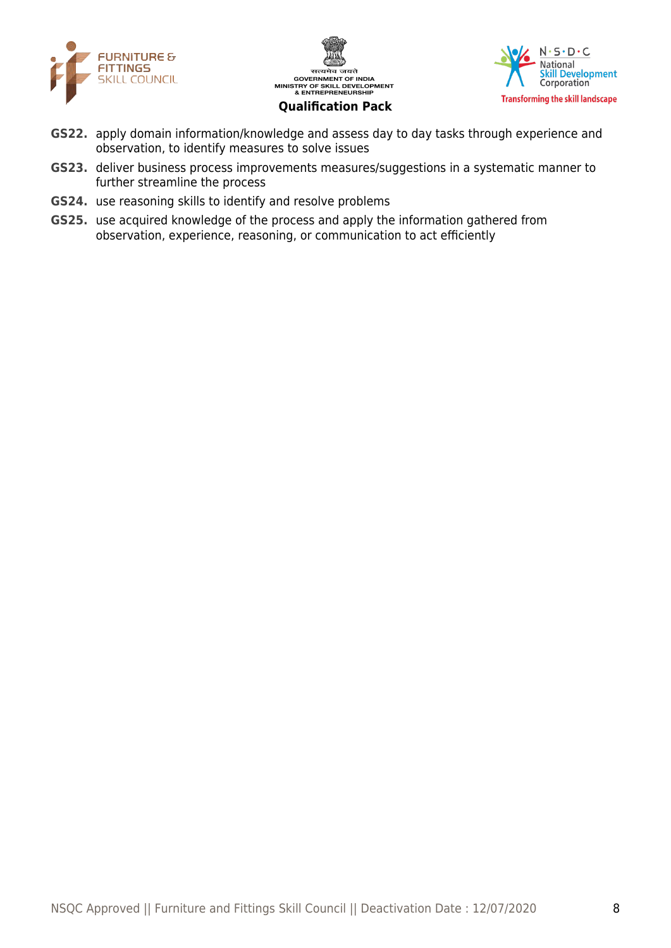





- **GS22.** apply domain information/knowledge and assess day to day tasks through experience and observation, to identify measures to solve issues
- **GS23.** deliver business process improvements measures/suggestions in a systematic manner to further streamline the process
- **GS24.** use reasoning skills to identify and resolve problems
- **GS25.** use acquired knowledge of the process and apply the information gathered from observation, experience, reasoning, or communication to act efficiently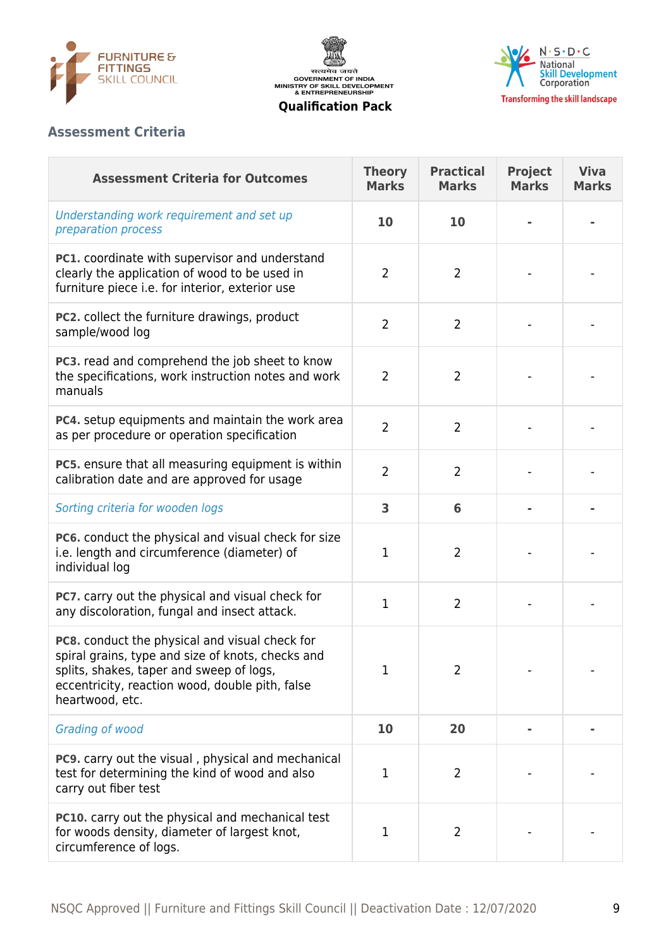





# **Assessment Criteria**

| <b>Assessment Criteria for Outcomes</b>                                                                                                                                                                               | <b>Theory</b><br><b>Marks</b> | <b>Practical</b><br><b>Marks</b> | <b>Project</b><br><b>Marks</b> | <b>Viva</b><br><b>Marks</b> |
|-----------------------------------------------------------------------------------------------------------------------------------------------------------------------------------------------------------------------|-------------------------------|----------------------------------|--------------------------------|-----------------------------|
| Understanding work requirement and set up<br>preparation process                                                                                                                                                      | 10                            | 10                               |                                |                             |
| PC1. coordinate with supervisor and understand<br>clearly the application of wood to be used in<br>furniture piece i.e. for interior, exterior use                                                                    | $\overline{2}$                | $\overline{2}$                   |                                |                             |
| PC2. collect the furniture drawings, product<br>sample/wood log                                                                                                                                                       | $\overline{2}$                | $\overline{2}$                   |                                |                             |
| PC3. read and comprehend the job sheet to know<br>the specifications, work instruction notes and work<br>manuals                                                                                                      | $\overline{2}$                | $\overline{2}$                   |                                |                             |
| PC4. setup equipments and maintain the work area<br>as per procedure or operation specification                                                                                                                       | $\overline{2}$                | $\overline{2}$                   |                                |                             |
| PC5. ensure that all measuring equipment is within<br>calibration date and are approved for usage                                                                                                                     | $\overline{2}$                | $\overline{2}$                   |                                |                             |
| Sorting criteria for wooden logs                                                                                                                                                                                      | 3                             | 6                                |                                |                             |
| PC6. conduct the physical and visual check for size<br>i.e. length and circumference (diameter) of<br>individual log                                                                                                  | $\mathbf{1}$                  | $\overline{2}$                   |                                |                             |
| PC7. carry out the physical and visual check for<br>any discoloration, fungal and insect attack.                                                                                                                      | 1                             | $\overline{2}$                   |                                |                             |
| PC8. conduct the physical and visual check for<br>spiral grains, type and size of knots, checks and<br>splits, shakes, taper and sweep of logs,<br>eccentricity, reaction wood, double pith, false<br>heartwood, etc. | 1                             | 2                                |                                |                             |
| Grading of wood                                                                                                                                                                                                       | 10                            | 20                               |                                |                             |
| PC9. carry out the visual, physical and mechanical<br>test for determining the kind of wood and also<br>carry out fiber test                                                                                          | 1                             | 2                                |                                |                             |
| <b>PC10.</b> carry out the physical and mechanical test<br>for woods density, diameter of largest knot,<br>circumference of logs.                                                                                     | 1                             | $\overline{2}$                   |                                |                             |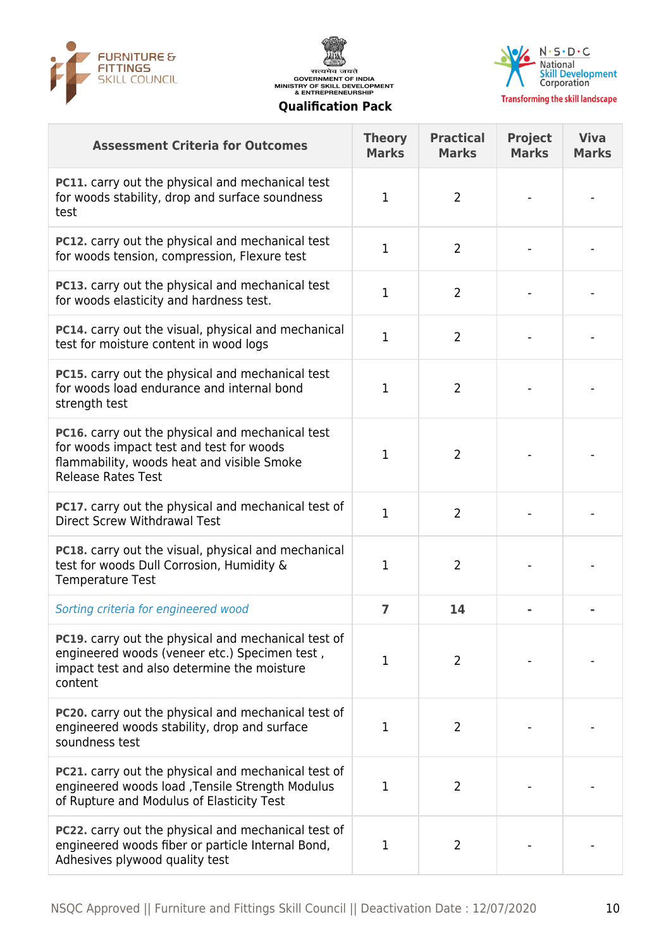





**Transforming the skill landscape** 

| <b>Assessment Criteria for Outcomes</b>                                                                                                                                 | <b>Theory</b><br><b>Marks</b> | <b>Practical</b><br><b>Marks</b> | <b>Project</b><br><b>Marks</b> | <b>Viva</b><br><b>Marks</b> |
|-------------------------------------------------------------------------------------------------------------------------------------------------------------------------|-------------------------------|----------------------------------|--------------------------------|-----------------------------|
| <b>PC11.</b> carry out the physical and mechanical test<br>for woods stability, drop and surface soundness<br>test                                                      | 1                             | $\overline{2}$                   |                                |                             |
| PC12. carry out the physical and mechanical test<br>for woods tension, compression, Flexure test                                                                        | 1                             | $\overline{2}$                   |                                |                             |
| PC13. carry out the physical and mechanical test<br>for woods elasticity and hardness test.                                                                             | 1                             | $\overline{2}$                   |                                |                             |
| PC14. carry out the visual, physical and mechanical<br>test for moisture content in wood logs                                                                           | 1                             | $\overline{2}$                   |                                |                             |
| <b>PC15.</b> carry out the physical and mechanical test<br>for woods load endurance and internal bond<br>strength test                                                  | 1                             | $\overline{2}$                   |                                |                             |
| PC16. carry out the physical and mechanical test<br>for woods impact test and test for woods<br>flammability, woods heat and visible Smoke<br><b>Release Rates Test</b> | 1                             | $\overline{2}$                   |                                |                             |
| <b>PC17.</b> carry out the physical and mechanical test of<br><b>Direct Screw Withdrawal Test</b>                                                                       | 1                             | $\overline{2}$                   |                                |                             |
| PC18. carry out the visual, physical and mechanical<br>test for woods Dull Corrosion, Humidity &<br><b>Temperature Test</b>                                             | 1                             | $\overline{2}$                   |                                |                             |
| Sorting criteria for engineered wood                                                                                                                                    | $\overline{7}$                | 14                               |                                |                             |
| <b>PC19.</b> carry out the physical and mechanical test of<br>engineered woods (veneer etc.) Specimen test,<br>impact test and also determine the moisture<br>content   | 1                             | $\overline{2}$                   |                                |                             |
| <b>PC20.</b> carry out the physical and mechanical test of<br>engineered woods stability, drop and surface<br>soundness test                                            | 1                             | $\overline{2}$                   |                                |                             |
| <b>PC21.</b> carry out the physical and mechanical test of<br>engineered woods load , Tensile Strength Modulus<br>of Rupture and Modulus of Elasticity Test             | 1                             | $\overline{2}$                   |                                |                             |
| PC22. carry out the physical and mechanical test of<br>engineered woods fiber or particle Internal Bond,<br>Adhesives plywood quality test                              | 1                             | 2                                |                                |                             |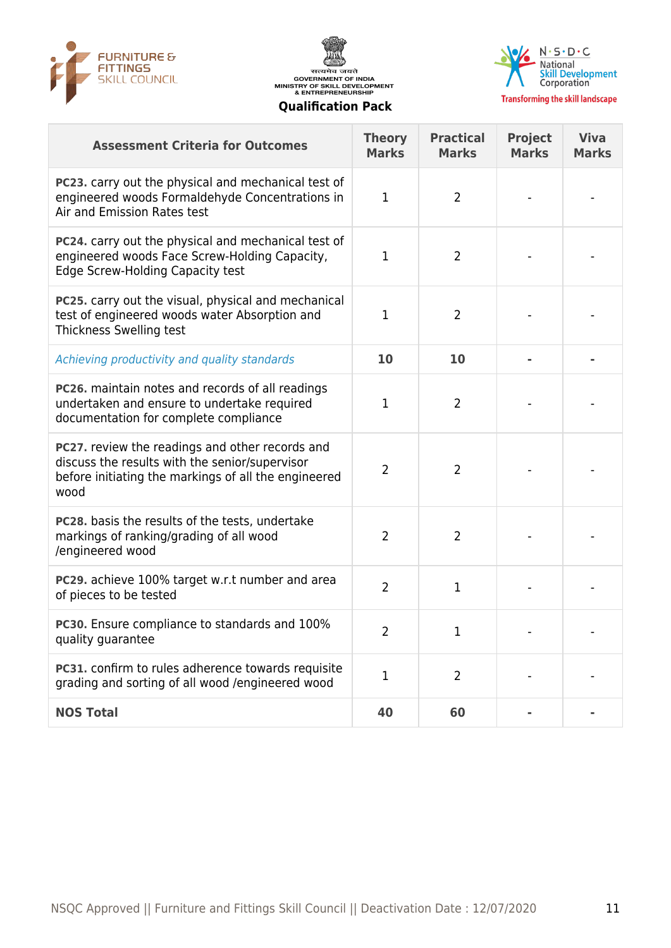





| <b>Assessment Criteria for Outcomes</b>                                                                                                                                  | <b>Theory</b><br><b>Marks</b> | <b>Practical</b><br><b>Marks</b> | <b>Project</b><br><b>Marks</b> | <b>Viva</b><br><b>Marks</b> |
|--------------------------------------------------------------------------------------------------------------------------------------------------------------------------|-------------------------------|----------------------------------|--------------------------------|-----------------------------|
| <b>PC23.</b> carry out the physical and mechanical test of<br>engineered woods Formaldehyde Concentrations in<br>Air and Emission Rates test                             | 1                             | $\overline{2}$                   |                                |                             |
| PC24. carry out the physical and mechanical test of<br>engineered woods Face Screw-Holding Capacity,<br><b>Edge Screw-Holding Capacity test</b>                          | 1                             | $\overline{2}$                   |                                |                             |
| PC25. carry out the visual, physical and mechanical<br>test of engineered woods water Absorption and<br>Thickness Swelling test                                          | 1                             | 2                                |                                |                             |
| Achieving productivity and quality standards                                                                                                                             | 10                            | 10                               |                                |                             |
| <b>PC26.</b> maintain notes and records of all readings<br>undertaken and ensure to undertake required<br>documentation for complete compliance                          | 1                             | $\overline{2}$                   |                                |                             |
| <b>PC27.</b> review the readings and other records and<br>discuss the results with the senior/supervisor<br>before initiating the markings of all the engineered<br>wood | 2                             | $\overline{2}$                   |                                |                             |
| <b>PC28.</b> basis the results of the tests, undertake<br>markings of ranking/grading of all wood<br>/engineered wood                                                    | $\overline{2}$                | $\overline{2}$                   |                                |                             |
| PC29. achieve 100% target w.r.t number and area<br>of pieces to be tested                                                                                                | $\overline{2}$                | $\mathbf{1}$                     |                                |                             |
| PC30. Ensure compliance to standards and 100%<br>quality guarantee                                                                                                       | 2                             | 1                                |                                |                             |
| PC31. confirm to rules adherence towards requisite<br>grading and sorting of all wood /engineered wood                                                                   | 1                             | $\overline{2}$                   |                                |                             |
| <b>NOS Total</b>                                                                                                                                                         | 40                            | 60                               |                                |                             |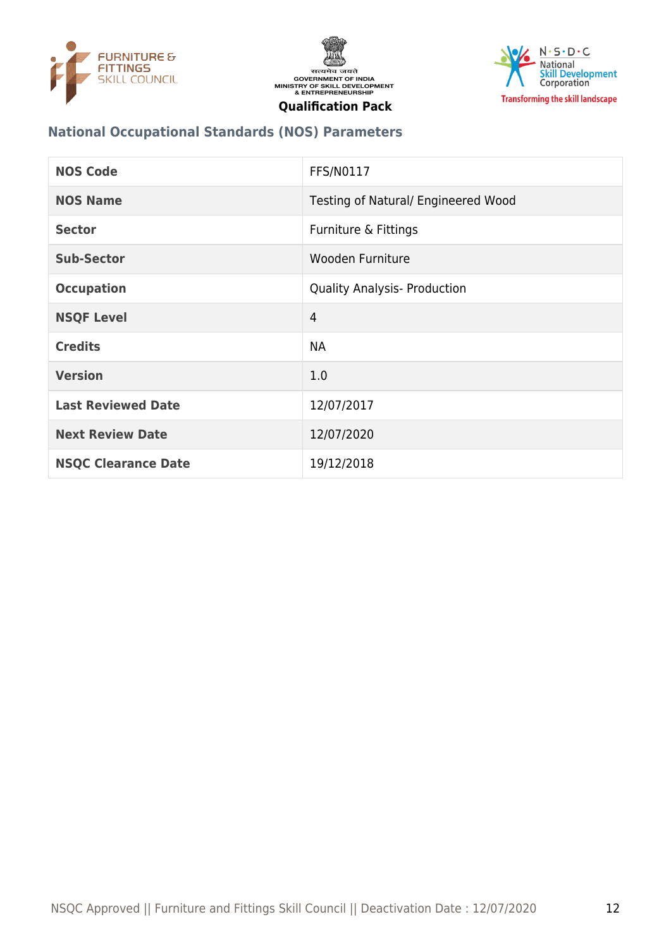





#### **National Occupational Standards (NOS) Parameters**

| <b>NOS Code</b>            | <b>FFS/N0117</b>                    |
|----------------------------|-------------------------------------|
| <b>NOS Name</b>            | Testing of Natural/ Engineered Wood |
| <b>Sector</b>              | Furniture & Fittings                |
| <b>Sub-Sector</b>          | Wooden Furniture                    |
| <b>Occupation</b>          | <b>Quality Analysis- Production</b> |
| <b>NSQF Level</b>          | $\overline{4}$                      |
| <b>Credits</b>             | <b>NA</b>                           |
| <b>Version</b>             | 1.0                                 |
| <b>Last Reviewed Date</b>  | 12/07/2017                          |
| <b>Next Review Date</b>    | 12/07/2020                          |
| <b>NSQC Clearance Date</b> | 19/12/2018                          |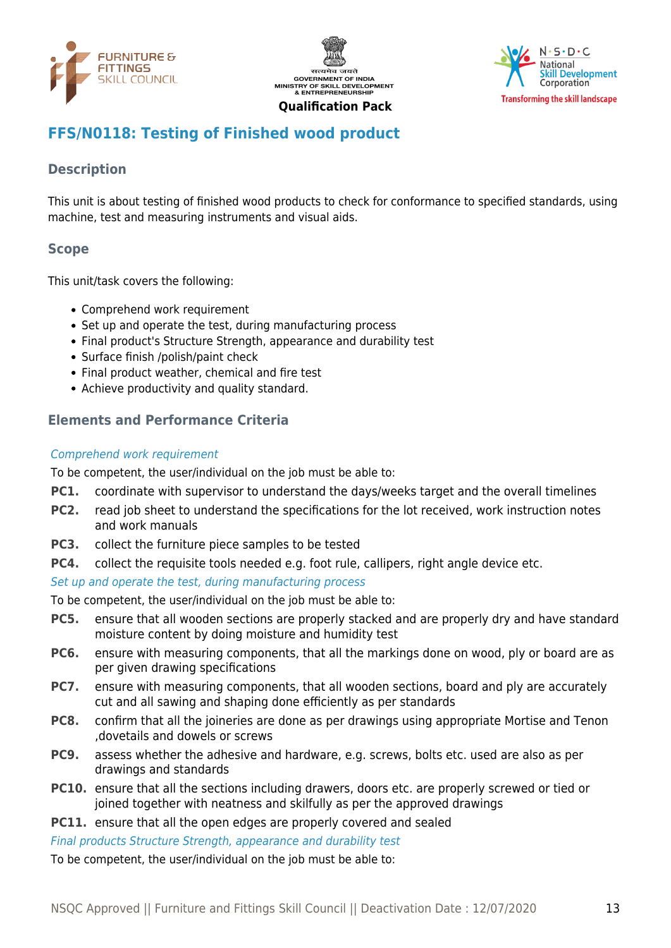





# <span id="page-12-0"></span>**FFS/N0118: Testing of Finished wood product**

#### **Description**

This unit is about testing of finished wood products to check for conformance to specified standards, using machine, test and measuring instruments and visual aids.

#### **Scope**

This unit/task covers the following:

- Comprehend work requirement
- Set up and operate the test, during manufacturing process
- Final product's Structure Strength, appearance and durability test
- Surface finish /polish/paint check
- Final product weather, chemical and fire test
- Achieve productivity and quality standard.

#### **Elements and Performance Criteria**

#### Comprehend work requirement

To be competent, the user/individual on the job must be able to:

- **PC1.** coordinate with supervisor to understand the days/weeks target and the overall timelines
- **PC2.** read job sheet to understand the specifications for the lot received, work instruction notes and work manuals
- **PC3.** collect the furniture piece samples to be tested
- **PC4.** collect the requisite tools needed e.g. foot rule, callipers, right angle device etc.

#### Set up and operate the test, during manufacturing process

To be competent, the user/individual on the job must be able to:

- **PC5.** ensure that all wooden sections are properly stacked and are properly dry and have standard moisture content by doing moisture and humidity test
- **PC6.** ensure with measuring components, that all the markings done on wood, ply or board are as per given drawing specifications
- **PC7.** ensure with measuring components, that all wooden sections, board and ply are accurately cut and all sawing and shaping done efficiently as per standards
- **PC8.** confirm that all the joineries are done as per drawings using appropriate Mortise and Tenon ,dovetails and dowels or screws
- **PC9.** assess whether the adhesive and hardware, e.g. screws, bolts etc. used are also as per drawings and standards
- **PC10.** ensure that all the sections including drawers, doors etc. are properly screwed or tied or joined together with neatness and skilfully as per the approved drawings
- **PC11.** ensure that all the open edges are properly covered and sealed

Final products Structure Strength, appearance and durability test

To be competent, the user/individual on the job must be able to: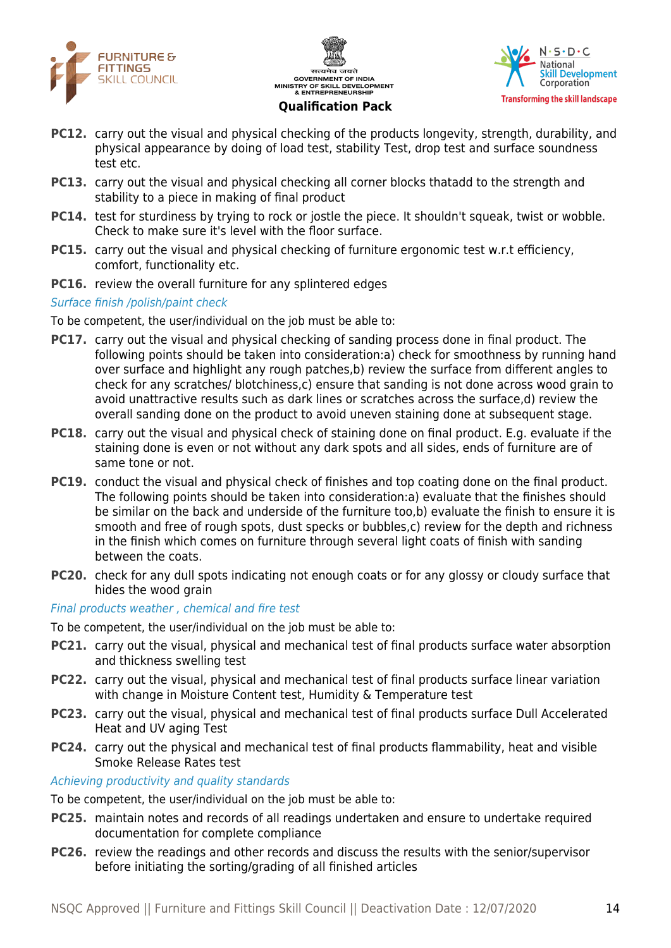





- **PC12.** carry out the visual and physical checking of the products longevity, strength, durability, and physical appearance by doing of load test, stability Test, drop test and surface soundness test etc.
- **PC13.** carry out the visual and physical checking all corner blocks thatadd to the strength and stability to a piece in making of final product
- **PC14.** test for sturdiness by trying to rock or jostle the piece. It shouldn't squeak, twist or wobble. Check to make sure it's level with the floor surface.
- **PC15.** carry out the visual and physical checking of furniture ergonomic test w.r.t efficiency, comfort, functionality etc.
- **PC16.** review the overall furniture for any splintered edges

#### Surface finish /polish/paint check

To be competent, the user/individual on the job must be able to:

- **PC17.** carry out the visual and physical checking of sanding process done in final product. The following points should be taken into consideration:a) check for smoothness by running hand over surface and highlight any rough patches,b) review the surface from different angles to check for any scratches/ blotchiness,c) ensure that sanding is not done across wood grain to avoid unattractive results such as dark lines or scratches across the surface,d) review the overall sanding done on the product to avoid uneven staining done at subsequent stage.
- **PC18.** carry out the visual and physical check of staining done on final product. E.g. evaluate if the staining done is even or not without any dark spots and all sides, ends of furniture are of same tone or not.
- **PC19.** conduct the visual and physical check of finishes and top coating done on the final product. The following points should be taken into consideration:a) evaluate that the finishes should be similar on the back and underside of the furniture too,b) evaluate the finish to ensure it is smooth and free of rough spots, dust specks or bubbles,c) review for the depth and richness in the finish which comes on furniture through several light coats of finish with sanding between the coats.
- **PC20.** check for any dull spots indicating not enough coats or for any glossy or cloudy surface that hides the wood grain

Final products weather , chemical and fire test

To be competent, the user/individual on the job must be able to:

- **PC21.** carry out the visual, physical and mechanical test of final products surface water absorption and thickness swelling test
- **PC22.** carry out the visual, physical and mechanical test of final products surface linear variation with change in Moisture Content test, Humidity & Temperature test
- **PC23.** carry out the visual, physical and mechanical test of final products surface Dull Accelerated Heat and UV aging Test
- **PC24.** carry out the physical and mechanical test of final products flammability, heat and visible Smoke Release Rates test

#### Achieving productivity and quality standards

To be competent, the user/individual on the job must be able to:

- **PC25.** maintain notes and records of all readings undertaken and ensure to undertake required documentation for complete compliance
- **PC26.** review the readings and other records and discuss the results with the senior/supervisor before initiating the sorting/grading of all finished articles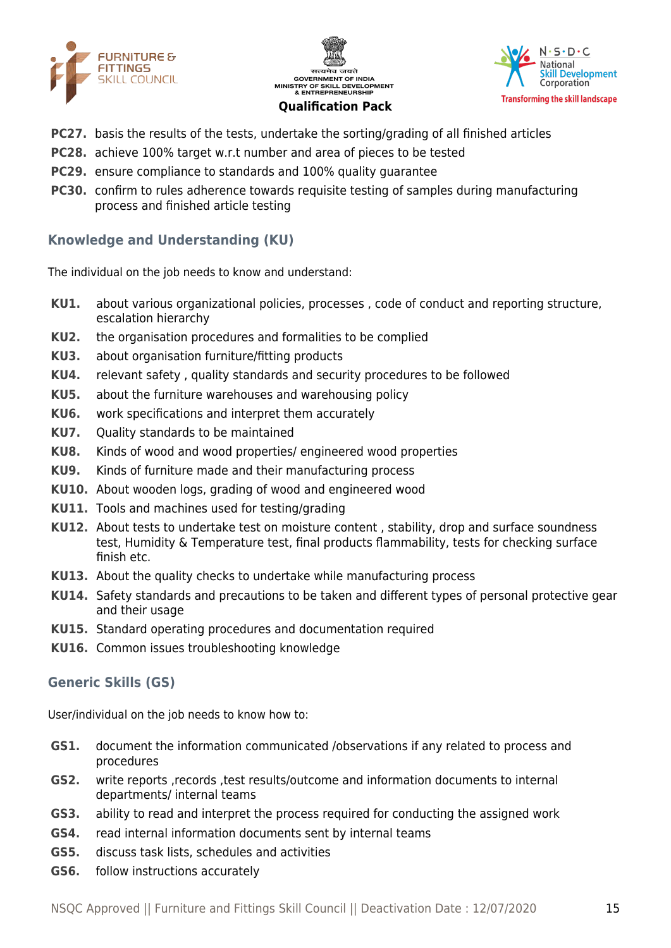





- **PC27.** basis the results of the tests, undertake the sorting/grading of all finished articles
- **PC28.** achieve 100% target w.r.t number and area of pieces to be tested
- **PC29.** ensure compliance to standards and 100% quality quarantee
- **PC30.** confirm to rules adherence towards requisite testing of samples during manufacturing process and finished article testing

#### **Knowledge and Understanding (KU)**

The individual on the job needs to know and understand:

- **KU1.** about various organizational policies, processes , code of conduct and reporting structure, escalation hierarchy
- **KU2.** the organisation procedures and formalities to be complied
- **KU3.** about organisation furniture/fitting products
- **KU4.** relevant safety , quality standards and security procedures to be followed
- **KU5.** about the furniture warehouses and warehousing policy
- **KU6.** work specifications and interpret them accurately
- **KU7.** Quality standards to be maintained
- **KU8.** Kinds of wood and wood properties/ engineered wood properties
- **KU9.** Kinds of furniture made and their manufacturing process
- **KU10.** About wooden logs, grading of wood and engineered wood
- **KU11.** Tools and machines used for testing/grading
- **KU12.** About tests to undertake test on moisture content , stability, drop and surface soundness test, Humidity & Temperature test, final products flammability, tests for checking surface finish etc.
- **KU13.** About the quality checks to undertake while manufacturing process
- **KU14.** Safety standards and precautions to be taken and different types of personal protective gear and their usage
- **KU15.** Standard operating procedures and documentation required
- **KU16.** Common issues troubleshooting knowledge

#### **Generic Skills (GS)**

User/individual on the job needs to know how to:

- **GS1.** document the information communicated /observations if any related to process and procedures
- **GS2.** write reports ,records ,test results/outcome and information documents to internal departments/ internal teams
- **GS3.** ability to read and interpret the process required for conducting the assigned work
- **GS4.** read internal information documents sent by internal teams
- **GS5.** discuss task lists, schedules and activities
- **GS6.** follow instructions accurately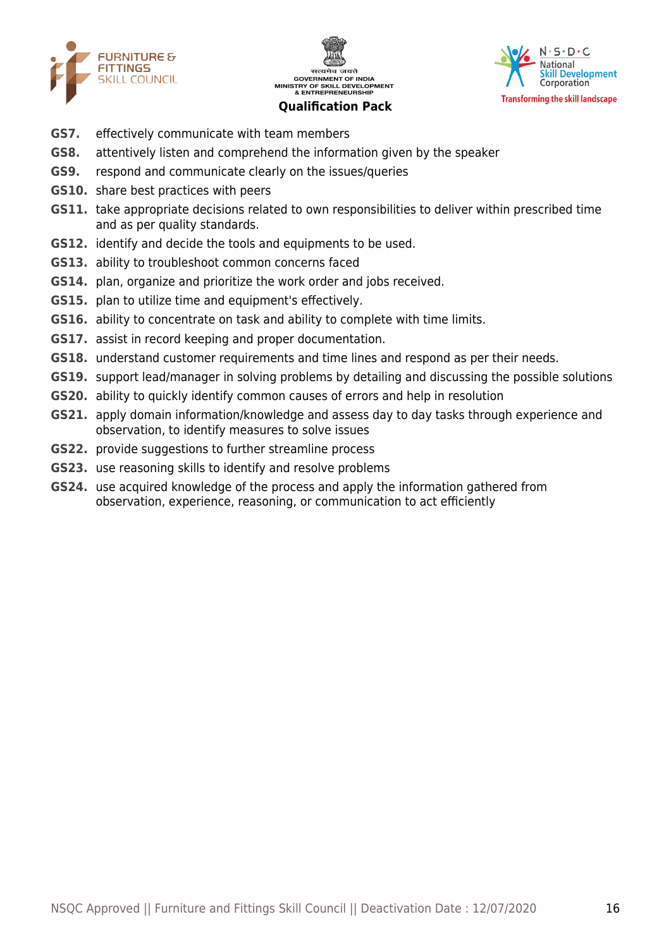





- **GS7.** effectively communicate with team members
- **GS8.** attentively listen and comprehend the information given by the speaker
- **GS9.** respond and communicate clearly on the issues/queries
- **GS10.** share best practices with peers
- **GS11.** take appropriate decisions related to own responsibilities to deliver within prescribed time and as per quality standards.
- **GS12.** identify and decide the tools and equipments to be used.
- **GS13.** ability to troubleshoot common concerns faced
- **GS14.** plan, organize and prioritize the work order and jobs received.
- **GS15.** plan to utilize time and equipment's effectively.
- **GS16.** ability to concentrate on task and ability to complete with time limits.
- **GS17.** assist in record keeping and proper documentation.
- **GS18.** understand customer requirements and time lines and respond as per their needs.
- **GS19.** support lead/manager in solving problems by detailing and discussing the possible solutions
- **GS20.** ability to quickly identify common causes of errors and help in resolution
- **GS21.** apply domain information/knowledge and assess day to day tasks through experience and observation, to identify measures to solve issues
- **GS22.** provide suggestions to further streamline process
- **GS23.** use reasoning skills to identify and resolve problems
- **GS24.** use acquired knowledge of the process and apply the information gathered from observation, experience, reasoning, or communication to act efficiently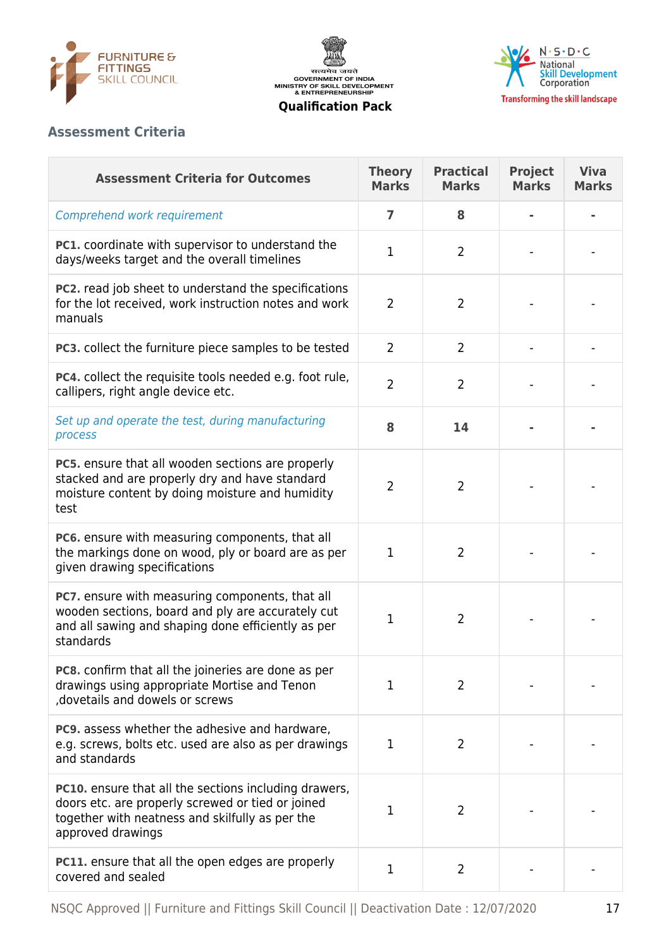





#### **Assessment Criteria**

| <b>Assessment Criteria for Outcomes</b>                                                                                                                                                   | <b>Theory</b><br><b>Marks</b> | <b>Practical</b><br><b>Marks</b> | <b>Project</b><br><b>Marks</b> | <b>Viva</b><br><b>Marks</b> |
|-------------------------------------------------------------------------------------------------------------------------------------------------------------------------------------------|-------------------------------|----------------------------------|--------------------------------|-----------------------------|
| Comprehend work requirement                                                                                                                                                               | 7                             | 8                                |                                |                             |
| PC1. coordinate with supervisor to understand the<br>days/weeks target and the overall timelines                                                                                          | $\mathbf{1}$                  | $\overline{2}$                   |                                |                             |
| PC2. read job sheet to understand the specifications<br>for the lot received, work instruction notes and work<br>manuals                                                                  | $\overline{2}$                | 2                                |                                |                             |
| PC3. collect the furniture piece samples to be tested                                                                                                                                     | $\overline{2}$                | $\overline{2}$                   |                                |                             |
| <b>PC4.</b> collect the requisite tools needed e.g. foot rule,<br>callipers, right angle device etc.                                                                                      | $\overline{2}$                | 2                                |                                |                             |
| Set up and operate the test, during manufacturing<br>process                                                                                                                              | 8                             | 14                               |                                |                             |
| PC5. ensure that all wooden sections are properly<br>stacked and are properly dry and have standard<br>moisture content by doing moisture and humidity<br>test                            | 2                             | 2                                |                                |                             |
| PC6. ensure with measuring components, that all<br>the markings done on wood, ply or board are as per<br>given drawing specifications                                                     | $\mathbf{1}$                  | $\overline{2}$                   |                                |                             |
| PC7. ensure with measuring components, that all<br>wooden sections, board and ply are accurately cut<br>and all sawing and shaping done efficiently as per<br>standards                   | 1                             | $\overline{2}$                   |                                |                             |
| PC8. confirm that all the joineries are done as per<br>drawings using appropriate Mortise and Tenon<br>dovetails and dowels or screws                                                     | 1                             | 2                                |                                |                             |
| PC9. assess whether the adhesive and hardware,<br>e.g. screws, bolts etc. used are also as per drawings<br>and standards                                                                  | 1                             | $\overline{2}$                   |                                |                             |
| <b>PC10.</b> ensure that all the sections including drawers,<br>doors etc. are properly screwed or tied or joined<br>together with neatness and skilfully as per the<br>approved drawings | 1                             | 2                                |                                |                             |
| <b>PC11.</b> ensure that all the open edges are properly<br>covered and sealed                                                                                                            | $\mathbf 1$                   | $\overline{2}$                   |                                |                             |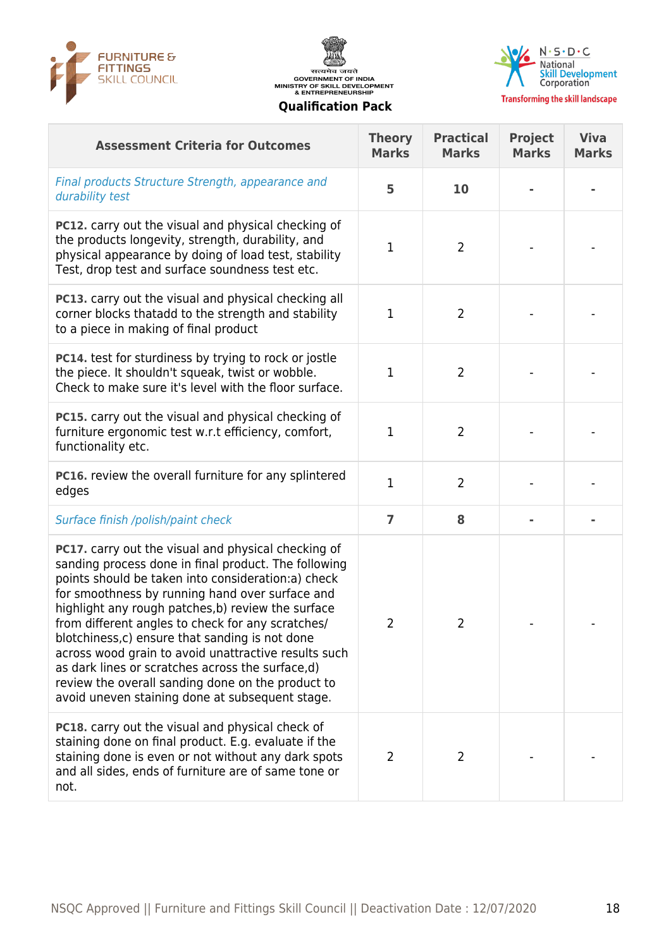





| <b>Assessment Criteria for Outcomes</b>                                                                                                                                                                                                                                                                                                                                                                                                                                                                                                                                                                       | <b>Theory</b><br><b>Marks</b> | <b>Practical</b><br><b>Marks</b> | <b>Project</b><br><b>Marks</b> | <b>Viva</b><br><b>Marks</b> |
|---------------------------------------------------------------------------------------------------------------------------------------------------------------------------------------------------------------------------------------------------------------------------------------------------------------------------------------------------------------------------------------------------------------------------------------------------------------------------------------------------------------------------------------------------------------------------------------------------------------|-------------------------------|----------------------------------|--------------------------------|-----------------------------|
| Final products Structure Strength, appearance and<br>durability test                                                                                                                                                                                                                                                                                                                                                                                                                                                                                                                                          | 5                             | 10                               |                                |                             |
| <b>PC12.</b> carry out the visual and physical checking of<br>the products longevity, strength, durability, and<br>physical appearance by doing of load test, stability<br>Test, drop test and surface soundness test etc.                                                                                                                                                                                                                                                                                                                                                                                    | 1                             | $\overline{2}$                   |                                |                             |
| PC13. carry out the visual and physical checking all<br>corner blocks thatadd to the strength and stability<br>to a piece in making of final product                                                                                                                                                                                                                                                                                                                                                                                                                                                          | 1                             | $\overline{2}$                   |                                |                             |
| PC14. test for sturdiness by trying to rock or jostle<br>the piece. It shouldn't squeak, twist or wobble.<br>Check to make sure it's level with the floor surface.                                                                                                                                                                                                                                                                                                                                                                                                                                            | $\mathbf{1}$                  | $\overline{2}$                   |                                |                             |
| <b>PC15.</b> carry out the visual and physical checking of<br>furniture ergonomic test w.r.t efficiency, comfort,<br>functionality etc.                                                                                                                                                                                                                                                                                                                                                                                                                                                                       | 1                             | $\overline{2}$                   |                                |                             |
| PC16. review the overall furniture for any splintered<br>edges                                                                                                                                                                                                                                                                                                                                                                                                                                                                                                                                                | $\mathbf{1}$                  | $\overline{2}$                   |                                |                             |
| Surface finish /polish/paint check                                                                                                                                                                                                                                                                                                                                                                                                                                                                                                                                                                            | $\overline{7}$                | 8                                |                                |                             |
| <b>PC17.</b> carry out the visual and physical checking of<br>sanding process done in final product. The following<br>points should be taken into consideration:a) check<br>for smoothness by running hand over surface and<br>highlight any rough patches, b) review the surface<br>from different angles to check for any scratches/<br>blotchiness, c) ensure that sanding is not done<br>across wood grain to avoid unattractive results such<br>as dark lines or scratches across the surface,d)<br>review the overall sanding done on the product to<br>avoid uneven staining done at subsequent stage. | $\overline{2}$                | $\overline{2}$                   |                                |                             |
| PC18. carry out the visual and physical check of<br>staining done on final product. E.g. evaluate if the<br>staining done is even or not without any dark spots<br>and all sides, ends of furniture are of same tone or<br>not.                                                                                                                                                                                                                                                                                                                                                                               | $\overline{2}$                | 2                                |                                |                             |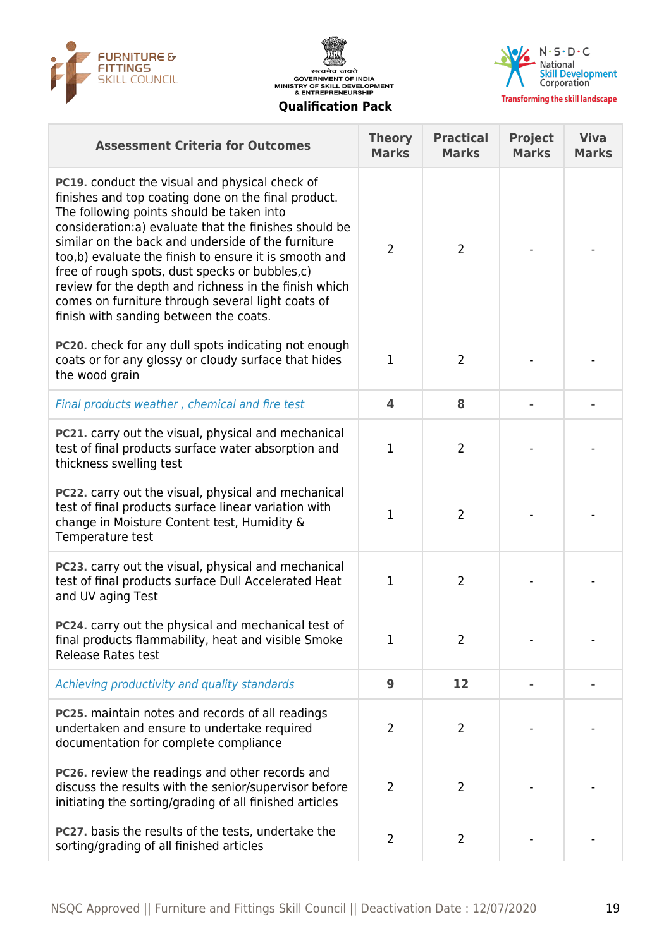





**Transforming the skill landscape** 

| <b>Assessment Criteria for Outcomes</b>                                                                                                                                                                                                                                                                                                                                                                                                                                                                                                      | <b>Theory</b><br><b>Marks</b> | <b>Practical</b><br><b>Marks</b> | <b>Project</b><br><b>Marks</b> | <b>Viva</b><br><b>Marks</b> |
|----------------------------------------------------------------------------------------------------------------------------------------------------------------------------------------------------------------------------------------------------------------------------------------------------------------------------------------------------------------------------------------------------------------------------------------------------------------------------------------------------------------------------------------------|-------------------------------|----------------------------------|--------------------------------|-----------------------------|
| <b>PC19.</b> conduct the visual and physical check of<br>finishes and top coating done on the final product.<br>The following points should be taken into<br>consideration:a) evaluate that the finishes should be<br>similar on the back and underside of the furniture<br>too,b) evaluate the finish to ensure it is smooth and<br>free of rough spots, dust specks or bubbles, c)<br>review for the depth and richness in the finish which<br>comes on furniture through several light coats of<br>finish with sanding between the coats. | $\overline{2}$                | $\overline{2}$                   |                                |                             |
| PC20. check for any dull spots indicating not enough<br>coats or for any glossy or cloudy surface that hides<br>the wood grain                                                                                                                                                                                                                                                                                                                                                                                                               | 1                             | $\overline{2}$                   |                                |                             |
| Final products weather, chemical and fire test                                                                                                                                                                                                                                                                                                                                                                                                                                                                                               | $\overline{\mathbf{4}}$       | 8                                |                                |                             |
| PC21. carry out the visual, physical and mechanical<br>test of final products surface water absorption and<br>thickness swelling test                                                                                                                                                                                                                                                                                                                                                                                                        | 1                             | $\overline{2}$                   |                                |                             |
| PC22. carry out the visual, physical and mechanical<br>test of final products surface linear variation with<br>change in Moisture Content test, Humidity &<br>Temperature test                                                                                                                                                                                                                                                                                                                                                               | 1                             | $\overline{2}$                   |                                |                             |
| <b>PC23.</b> carry out the visual, physical and mechanical<br>test of final products surface Dull Accelerated Heat<br>and UV aging Test                                                                                                                                                                                                                                                                                                                                                                                                      | 1                             | $\overline{2}$                   |                                |                             |
| PC24. carry out the physical and mechanical test of<br>final products flammability, heat and visible Smoke<br><b>Release Rates test</b>                                                                                                                                                                                                                                                                                                                                                                                                      | 1                             | $\overline{2}$                   |                                |                             |
| Achieving productivity and quality standards                                                                                                                                                                                                                                                                                                                                                                                                                                                                                                 | 9                             | 12                               |                                |                             |
| PC25. maintain notes and records of all readings<br>undertaken and ensure to undertake required<br>documentation for complete compliance                                                                                                                                                                                                                                                                                                                                                                                                     | $\overline{2}$                | $\overline{2}$                   |                                |                             |
| PC26. review the readings and other records and<br>discuss the results with the senior/supervisor before<br>initiating the sorting/grading of all finished articles                                                                                                                                                                                                                                                                                                                                                                          | $\overline{2}$                | $\overline{2}$                   |                                |                             |
| <b>PC27.</b> basis the results of the tests, undertake the<br>sorting/grading of all finished articles                                                                                                                                                                                                                                                                                                                                                                                                                                       | $\overline{2}$                | $\overline{2}$                   |                                |                             |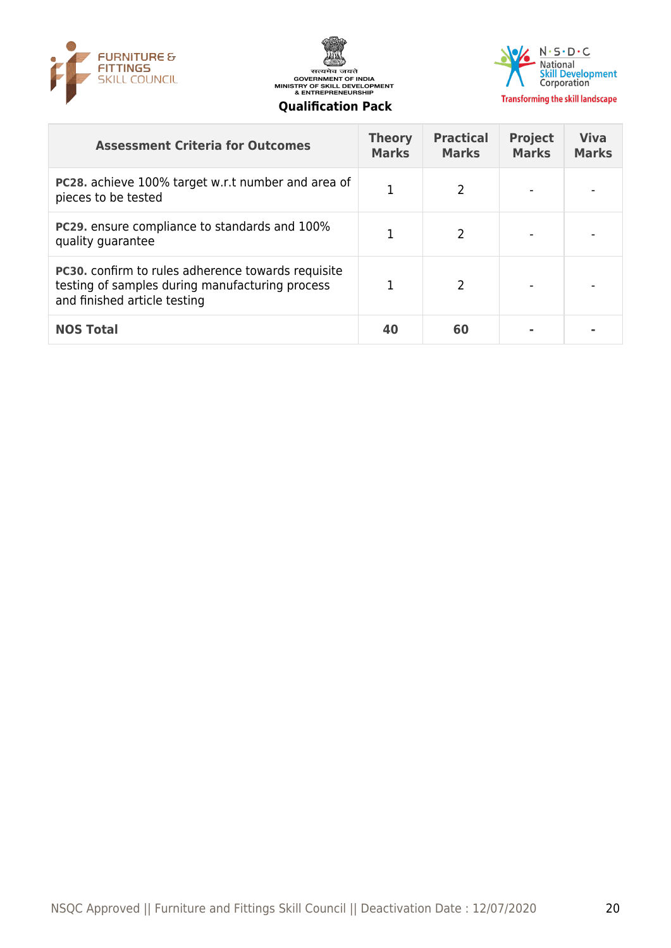





| <b>Assessment Criteria for Outcomes</b>                                                                                                      | <b>Theory</b><br><b>Marks</b> | <b>Practical</b><br><b>Marks</b> | <b>Project</b><br><b>Marks</b> | <b>Viva</b><br><b>Marks</b> |
|----------------------------------------------------------------------------------------------------------------------------------------------|-------------------------------|----------------------------------|--------------------------------|-----------------------------|
| PC28. achieve 100% target w.r.t number and area of<br>pieces to be tested                                                                    | 1                             | 2                                |                                |                             |
| <b>PC29.</b> ensure compliance to standards and 100%<br>quality guarantee                                                                    |                               | $\mathcal{P}$                    |                                |                             |
| <b>PC30.</b> confirm to rules adherence towards requisite<br>testing of samples during manufacturing process<br>and finished article testing |                               | 2                                |                                |                             |
| <b>NOS Total</b>                                                                                                                             | 40                            | 60                               |                                |                             |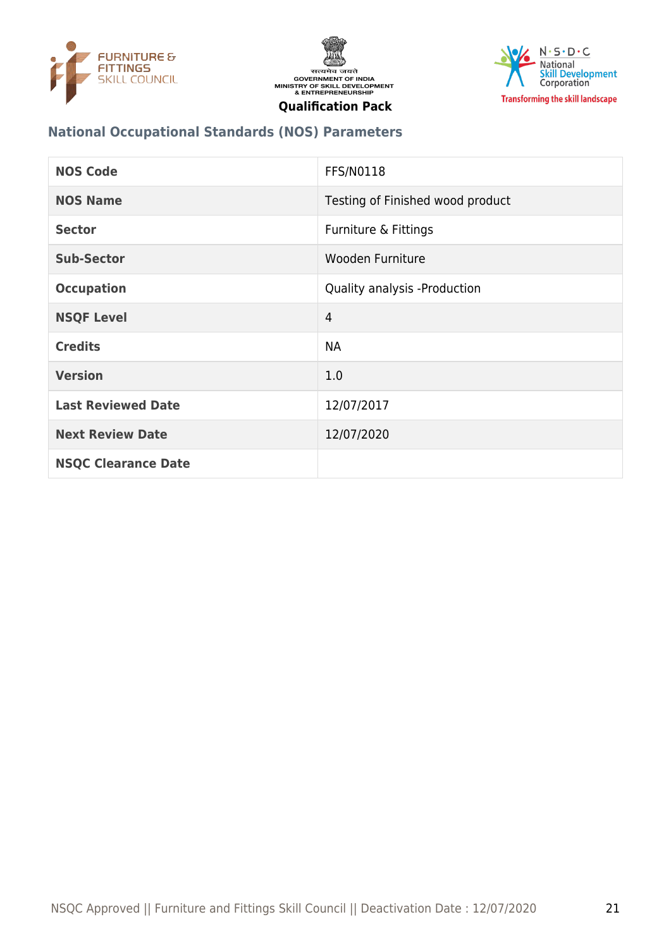





#### **National Occupational Standards (NOS) Parameters**

| <b>NOS Code</b>            | <b>FFS/N0118</b>                 |
|----------------------------|----------------------------------|
| <b>NOS Name</b>            | Testing of Finished wood product |
| <b>Sector</b>              | Furniture & Fittings             |
| <b>Sub-Sector</b>          | Wooden Furniture                 |
| <b>Occupation</b>          | Quality analysis -Production     |
| <b>NSQF Level</b>          | $\overline{4}$                   |
| <b>Credits</b>             | <b>NA</b>                        |
| <b>Version</b>             | 1.0                              |
| <b>Last Reviewed Date</b>  | 12/07/2017                       |
| <b>Next Review Date</b>    | 12/07/2020                       |
| <b>NSQC Clearance Date</b> |                                  |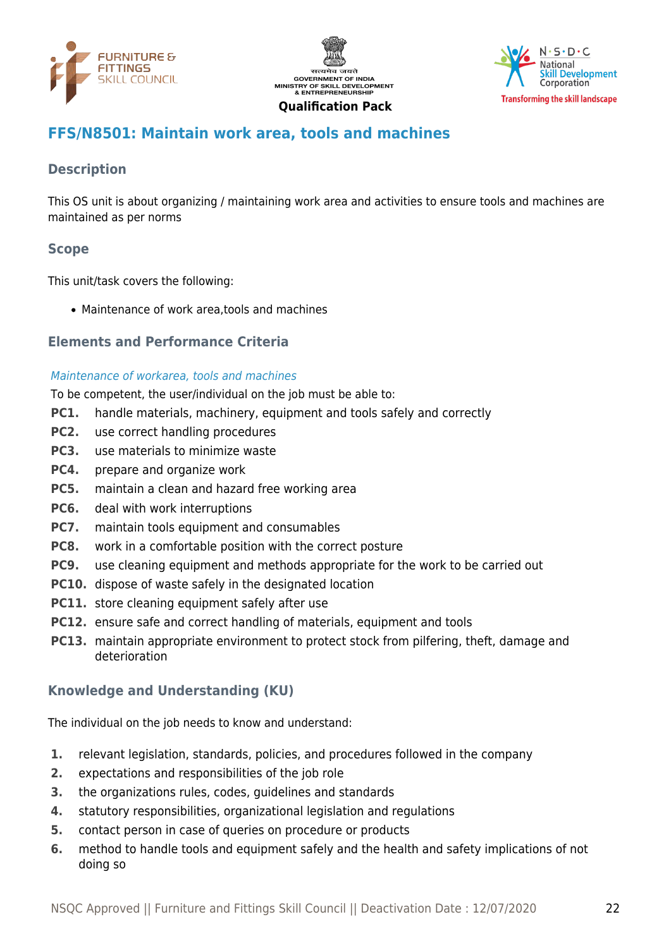





### <span id="page-21-0"></span>**FFS/N8501: Maintain work area, tools and machines**

#### **Description**

This OS unit is about organizing / maintaining work area and activities to ensure tools and machines are maintained as per norms

#### **Scope**

This unit/task covers the following:

Maintenance of work area,tools and machines

#### **Elements and Performance Criteria**

#### Maintenance of workarea, tools and machines

To be competent, the user/individual on the job must be able to:

- **PC1.** handle materials, machinery, equipment and tools safely and correctly
- **PC2.** use correct handling procedures
- **PC3.** use materials to minimize waste
- **PC4.** prepare and organize work
- **PC5.** maintain a clean and hazard free working area
- **PC6.** deal with work interruptions
- **PC7.** maintain tools equipment and consumables
- **PC8.** work in a comfortable position with the correct posture
- **PC9.** use cleaning equipment and methods appropriate for the work to be carried out
- **PC10.** dispose of waste safely in the designated location
- **PC11.** store cleaning equipment safely after use
- **PC12.** ensure safe and correct handling of materials, equipment and tools
- **PC13.** maintain appropriate environment to protect stock from pilfering, theft, damage and deterioration

#### **Knowledge and Understanding (KU)**

The individual on the job needs to know and understand:

- **1.** relevant legislation, standards, policies, and procedures followed in the company
- **2.** expectations and responsibilities of the job role
- **3.** the organizations rules, codes, guidelines and standards
- **4.** statutory responsibilities, organizational legislation and regulations
- **5.** contact person in case of queries on procedure or products
- **6.** method to handle tools and equipment safely and the health and safety implications of not doing so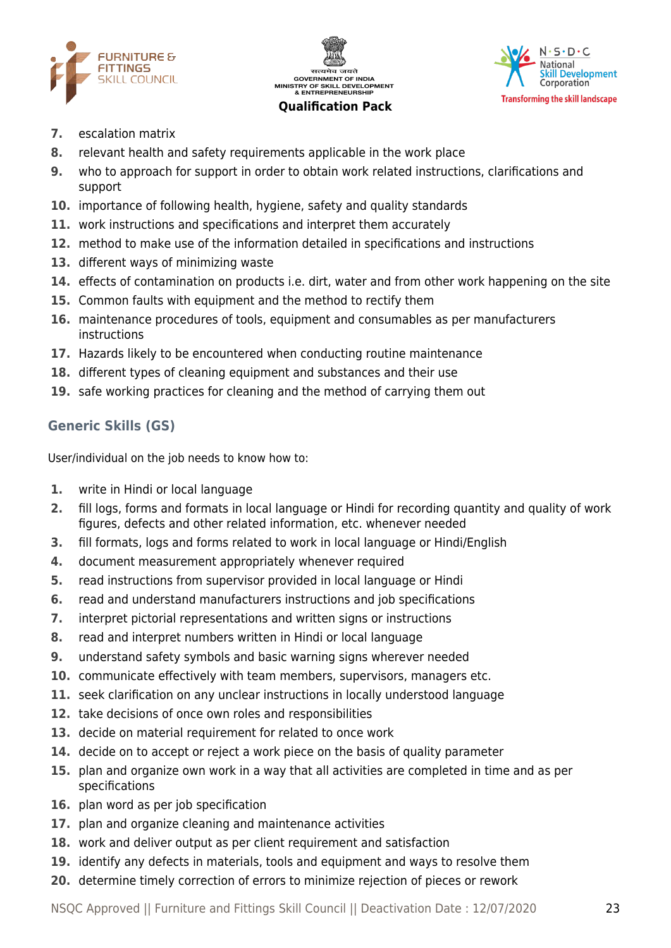





- **7.** escalation matrix
- **8.** relevant health and safety requirements applicable in the work place
- **9.** who to approach for support in order to obtain work related instructions, clarifications and support
- **10.** importance of following health, hygiene, safety and quality standards
- **11.** work instructions and specifications and interpret them accurately
- **12.** method to make use of the information detailed in specifications and instructions
- **13.** different ways of minimizing waste
- **14.** effects of contamination on products i.e. dirt, water and from other work happening on the site
- **15.** Common faults with equipment and the method to rectify them
- **16.** maintenance procedures of tools, equipment and consumables as per manufacturers instructions
- **17.** Hazards likely to be encountered when conducting routine maintenance
- **18.** different types of cleaning equipment and substances and their use
- **19.** safe working practices for cleaning and the method of carrying them out

#### **Generic Skills (GS)**

User/individual on the job needs to know how to:

- **1.** write in Hindi or local language
- **2.** fill logs, forms and formats in local language or Hindi for recording quantity and quality of work figures, defects and other related information, etc. whenever needed
- **3.** fill formats, logs and forms related to work in local language or Hindi/English
- **4.** document measurement appropriately whenever required
- **5.** read instructions from supervisor provided in local language or Hindi
- **6.** read and understand manufacturers instructions and job specifications
- **7.** interpret pictorial representations and written signs or instructions
- **8.** read and interpret numbers written in Hindi or local language
- **9.** understand safety symbols and basic warning signs wherever needed
- **10.** communicate effectively with team members, supervisors, managers etc.
- **11.** seek clarification on any unclear instructions in locally understood language
- **12.** take decisions of once own roles and responsibilities
- **13.** decide on material requirement for related to once work
- **14.** decide on to accept or reject a work piece on the basis of quality parameter
- **15.** plan and organize own work in a way that all activities are completed in time and as per specifications
- **16.** plan word as per job specification
- **17.** plan and organize cleaning and maintenance activities
- **18.** work and deliver output as per client requirement and satisfaction
- **19.** identify any defects in materials, tools and equipment and ways to resolve them
- **20.** determine timely correction of errors to minimize rejection of pieces or rework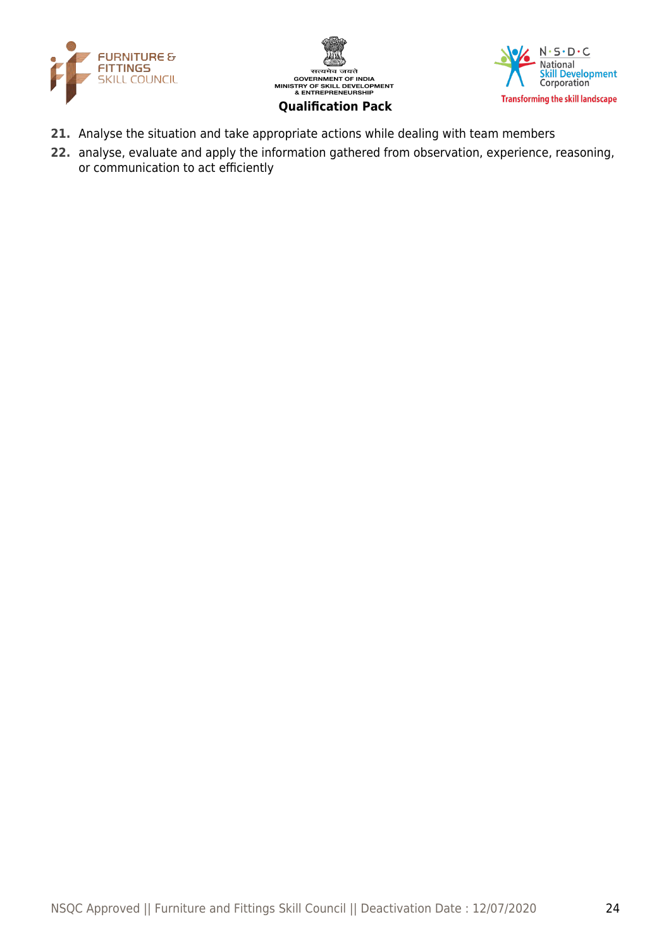





- **21.** Analyse the situation and take appropriate actions while dealing with team members
- **22.** analyse, evaluate and apply the information gathered from observation, experience, reasoning, or communication to act efficiently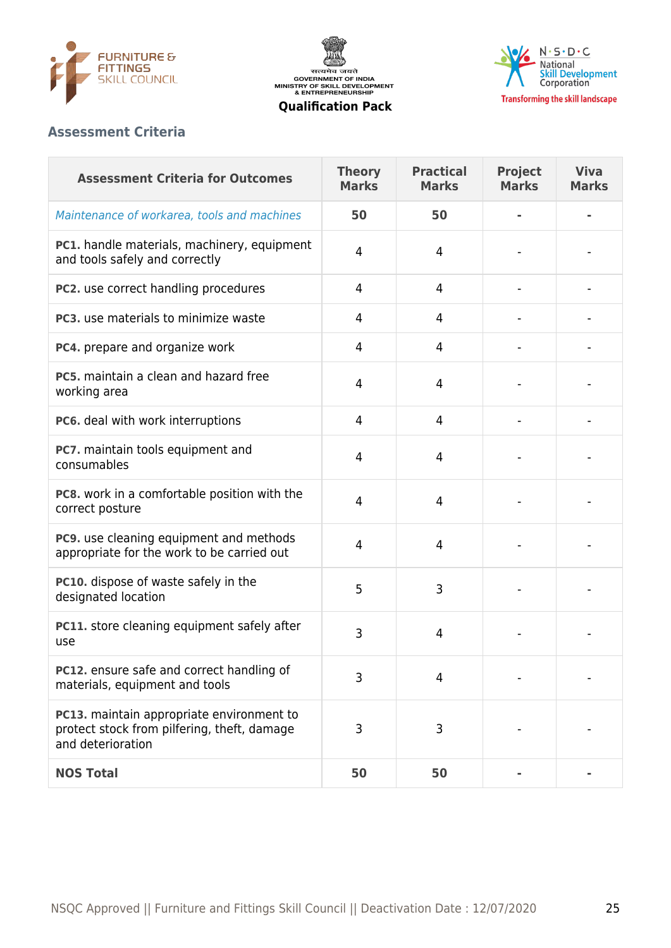





#### **Assessment Criteria**

| <b>Assessment Criteria for Outcomes</b>                                                                       | <b>Theory</b><br><b>Marks</b> | <b>Practical</b><br><b>Marks</b> | <b>Project</b><br><b>Marks</b> | <b>Viva</b><br><b>Marks</b> |
|---------------------------------------------------------------------------------------------------------------|-------------------------------|----------------------------------|--------------------------------|-----------------------------|
| Maintenance of workarea, tools and machines                                                                   | 50                            | 50                               |                                |                             |
| PC1. handle materials, machinery, equipment<br>and tools safely and correctly                                 | 4                             | 4                                |                                |                             |
| PC2. use correct handling procedures                                                                          | 4                             | 4                                |                                |                             |
| <b>PC3.</b> use materials to minimize waste                                                                   | 4                             | 4                                |                                |                             |
| PC4. prepare and organize work                                                                                | 4                             | 4                                |                                |                             |
| PC5, maintain a clean and hazard free<br>working area                                                         | 4                             | 4                                |                                |                             |
| PC6. deal with work interruptions                                                                             | 4                             | 4                                |                                |                             |
| PC7. maintain tools equipment and<br>consumables                                                              | 4                             | 4                                |                                |                             |
| PC8. work in a comfortable position with the<br>correct posture                                               | 4                             | 4                                |                                |                             |
| PC9. use cleaning equipment and methods<br>appropriate for the work to be carried out                         | 4                             | 4                                |                                |                             |
| PC10. dispose of waste safely in the<br>designated location                                                   | 5                             | 3                                |                                |                             |
| PC11. store cleaning equipment safely after<br>use                                                            | 3                             | 4                                |                                |                             |
| PC12. ensure safe and correct handling of<br>materials, equipment and tools                                   | 3                             | 4                                |                                |                             |
| PC13. maintain appropriate environment to<br>protect stock from pilfering, theft, damage<br>and deterioration | 3                             | 3                                |                                |                             |
| <b>NOS Total</b>                                                                                              | 50                            | 50                               |                                |                             |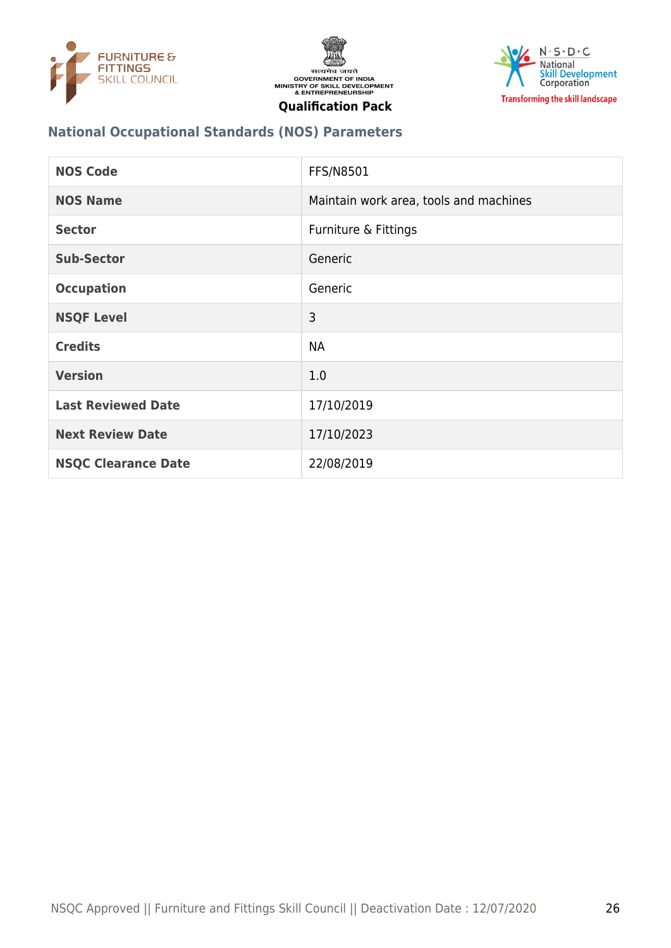





#### **National Occupational Standards (NOS) Parameters**

| <b>NOS Code</b>            | <b>FFS/N8501</b>                       |
|----------------------------|----------------------------------------|
| <b>NOS Name</b>            | Maintain work area, tools and machines |
| <b>Sector</b>              | Furniture & Fittings                   |
| <b>Sub-Sector</b>          | Generic                                |
| <b>Occupation</b>          | Generic                                |
| <b>NSQF Level</b>          | 3                                      |
| <b>Credits</b>             | <b>NA</b>                              |
| <b>Version</b>             | 1.0                                    |
| <b>Last Reviewed Date</b>  | 17/10/2019                             |
| <b>Next Review Date</b>    | 17/10/2023                             |
| <b>NSQC Clearance Date</b> | 22/08/2019                             |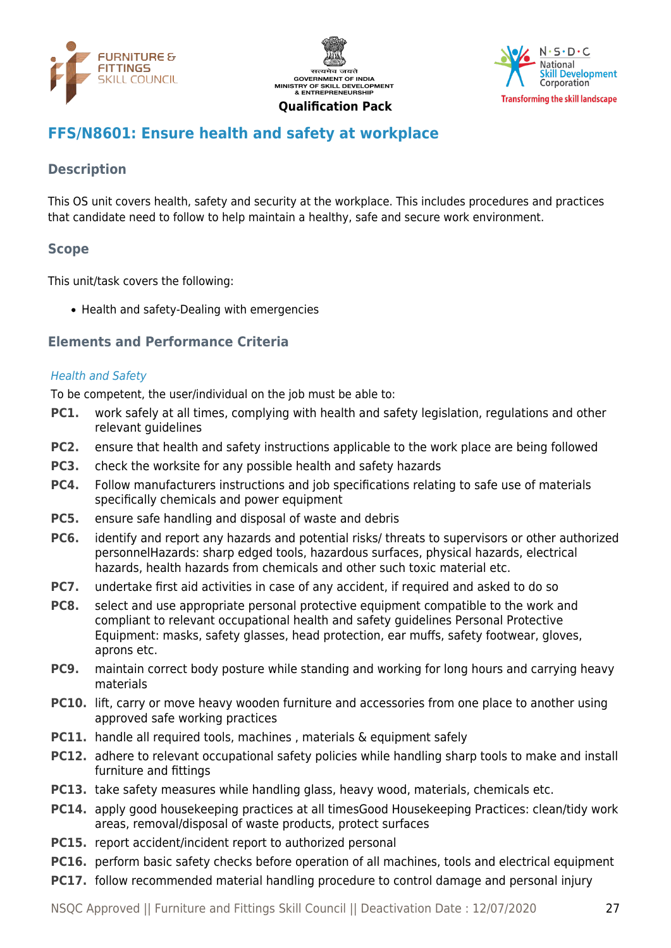





# <span id="page-26-0"></span>**FFS/N8601: Ensure health and safety at workplace**

#### **Description**

This OS unit covers health, safety and security at the workplace. This includes procedures and practices that candidate need to follow to help maintain a healthy, safe and secure work environment.

#### **Scope**

This unit/task covers the following:

• Health and safety-Dealing with emergencies

#### **Elements and Performance Criteria**

#### Health and Safety

To be competent, the user/individual on the job must be able to:

- **PC1.** work safely at all times, complying with health and safety legislation, regulations and other relevant quidelines
- **PC2.** ensure that health and safety instructions applicable to the work place are being followed
- **PC3.** check the worksite for any possible health and safety hazards
- **PC4.** Follow manufacturers instructions and job specifications relating to safe use of materials specifically chemicals and power equipment
- **PC5.** ensure safe handling and disposal of waste and debris
- **PC6.** identify and report any hazards and potential risks/ threats to supervisors or other authorized personnelHazards: sharp edged tools, hazardous surfaces, physical hazards, electrical hazards, health hazards from chemicals and other such toxic material etc.
- **PC7.** undertake first aid activities in case of any accident, if required and asked to do so
- **PC8.** select and use appropriate personal protective equipment compatible to the work and compliant to relevant occupational health and safety guidelines Personal Protective Equipment: masks, safety glasses, head protection, ear muffs, safety footwear, gloves, aprons etc.
- **PC9.** maintain correct body posture while standing and working for long hours and carrying heavy materials
- **PC10.** lift, carry or move heavy wooden furniture and accessories from one place to another using approved safe working practices
- **PC11.** handle all required tools, machines, materials & equipment safely
- **PC12.** adhere to relevant occupational safety policies while handling sharp tools to make and install furniture and fittings
- **PC13.** take safety measures while handling glass, heavy wood, materials, chemicals etc.
- **PC14.** apply good housekeeping practices at all timesGood Housekeeping Practices: clean/tidy work areas, removal/disposal of waste products, protect surfaces
- **PC15.** report accident/incident report to authorized personal
- **PC16.** perform basic safety checks before operation of all machines, tools and electrical equipment
- **PC17.** follow recommended material handling procedure to control damage and personal injury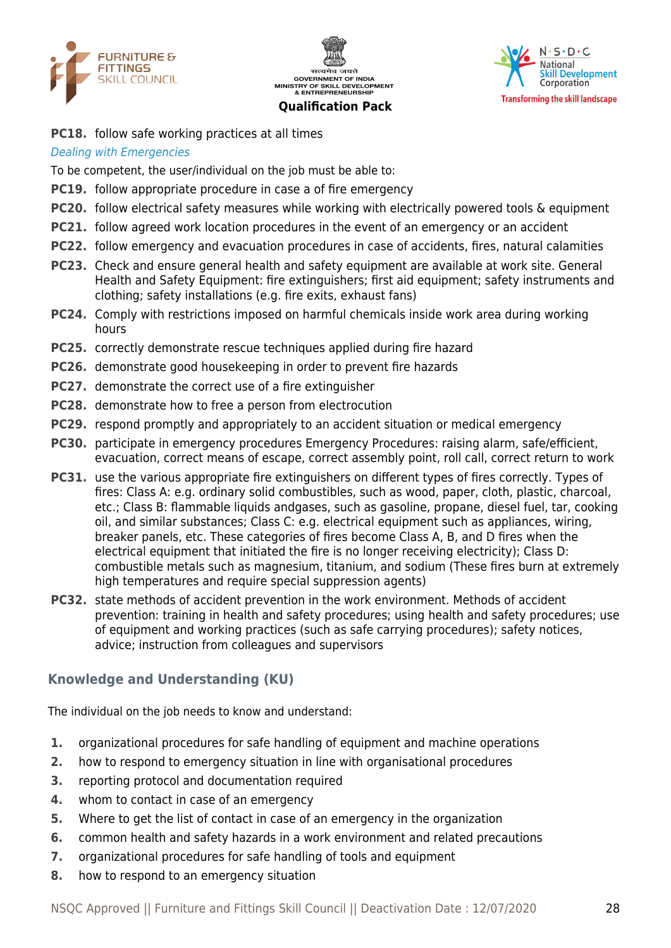





**PC18.** follow safe working practices at all times

#### Dealing with Emergencies

To be competent, the user/individual on the job must be able to:

- **PC19.** follow appropriate procedure in case a of fire emergency
- **PC20.** follow electrical safety measures while working with electrically powered tools & equipment
- **PC21.** follow agreed work location procedures in the event of an emergency or an accident
- **PC22.** follow emergency and evacuation procedures in case of accidents, fires, natural calamities
- **PC23.** Check and ensure general health and safety equipment are available at work site. General Health and Safety Equipment: fire extinguishers; first aid equipment; safety instruments and clothing; safety installations (e.g. fire exits, exhaust fans)
- **PC24.** Comply with restrictions imposed on harmful chemicals inside work area during working hours
- **PC25.** correctly demonstrate rescue techniques applied during fire hazard
- **PC26.** demonstrate good housekeeping in order to prevent fire hazards
- **PC27.** demonstrate the correct use of a fire extinguisher
- **PC28.** demonstrate how to free a person from electrocution
- **PC29.** respond promptly and appropriately to an accident situation or medical emergency
- **PC30.** participate in emergency procedures Emergency Procedures: raising alarm, safe/efficient, evacuation, correct means of escape, correct assembly point, roll call, correct return to work
- **PC31.** use the various appropriate fire extinguishers on different types of fires correctly. Types of fires: Class A: e.g. ordinary solid combustibles, such as wood, paper, cloth, plastic, charcoal, etc.; Class B: flammable liquids andgases, such as gasoline, propane, diesel fuel, tar, cooking oil, and similar substances; Class C: e.g. electrical equipment such as appliances, wiring, breaker panels, etc. These categories of fires become Class A, B, and D fires when the electrical equipment that initiated the fire is no longer receiving electricity); Class D: combustible metals such as magnesium, titanium, and sodium (These fires burn at extremely high temperatures and require special suppression agents)
- **PC32.** state methods of accident prevention in the work environment. Methods of accident prevention: training in health and safety procedures; using health and safety procedures; use of equipment and working practices (such as safe carrying procedures); safety notices, advice; instruction from colleagues and supervisors

#### **Knowledge and Understanding (KU)**

The individual on the job needs to know and understand:

- **1.** organizational procedures for safe handling of equipment and machine operations
- **2.** how to respond to emergency situation in line with organisational procedures
- **3.** reporting protocol and documentation required
- **4.** whom to contact in case of an emergency
- **5.** Where to get the list of contact in case of an emergency in the organization
- **6.** common health and safety hazards in a work environment and related precautions
- **7.** organizational procedures for safe handling of tools and equipment
- **8.** how to respond to an emergency situation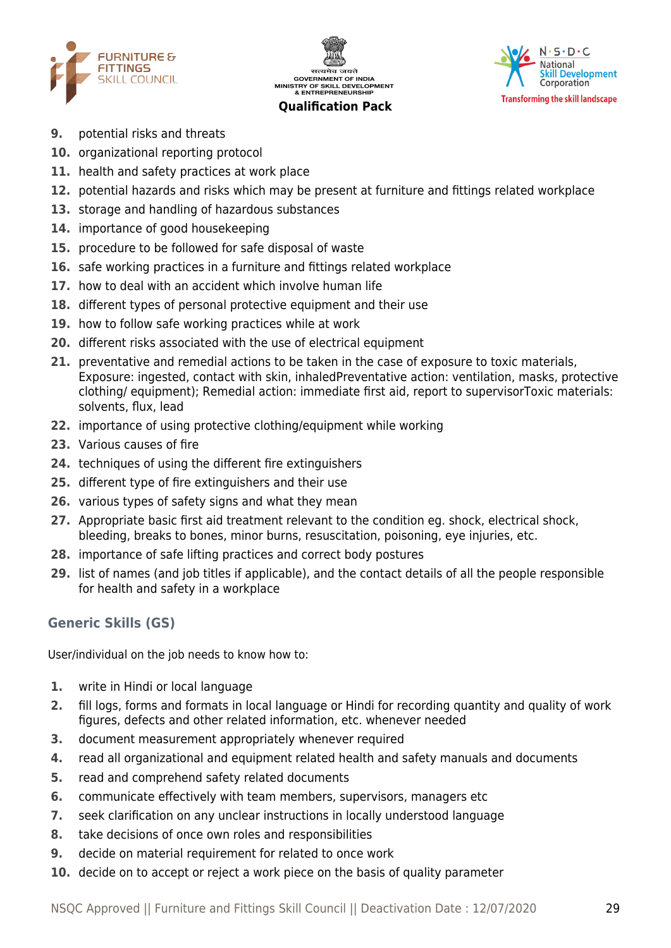





- **9.** potential risks and threats
- **10.** organizational reporting protocol
- **11.** health and safety practices at work place
- **12.** potential hazards and risks which may be present at furniture and fittings related workplace
- **13.** storage and handling of hazardous substances
- **14.** importance of good housekeeping
- **15.** procedure to be followed for safe disposal of waste
- **16.** safe working practices in a furniture and fittings related workplace
- **17.** how to deal with an accident which involve human life
- **18.** different types of personal protective equipment and their use
- **19.** how to follow safe working practices while at work
- **20.** different risks associated with the use of electrical equipment
- **21.** preventative and remedial actions to be taken in the case of exposure to toxic materials, Exposure: ingested, contact with skin, inhaledPreventative action: ventilation, masks, protective clothing/ equipment); Remedial action: immediate first aid, report to supervisorToxic materials: solvents, flux, lead
- **22.** importance of using protective clothing/equipment while working
- **23.** Various causes of fire
- **24.** techniques of using the different fire extinguishers
- **25.** different type of fire extinguishers and their use
- **26.** various types of safety signs and what they mean
- **27.** Appropriate basic first aid treatment relevant to the condition eg. shock, electrical shock, bleeding, breaks to bones, minor burns, resuscitation, poisoning, eye injuries, etc.
- **28.** importance of safe lifting practices and correct body postures
- **29.** list of names (and job titles if applicable), and the contact details of all the people responsible for health and safety in a workplace

### **Generic Skills (GS)**

User/individual on the job needs to know how to:

- **1.** write in Hindi or local language
- **2.** fill logs, forms and formats in local language or Hindi for recording quantity and quality of work figures, defects and other related information, etc. whenever needed
- **3.** document measurement appropriately whenever required
- **4.** read all organizational and equipment related health and safety manuals and documents
- **5.** read and comprehend safety related documents
- **6.** communicate effectively with team members, supervisors, managers etc
- **7.** seek clarification on any unclear instructions in locally understood language
- **8.** take decisions of once own roles and responsibilities
- **9.** decide on material requirement for related to once work
- **10.** decide on to accept or reject a work piece on the basis of quality parameter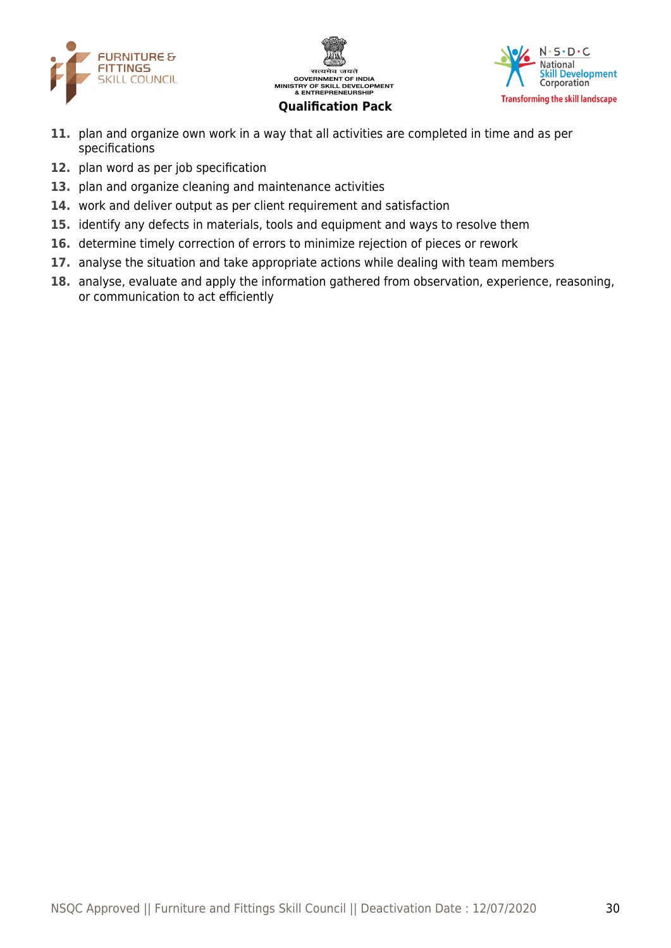





- **11.** plan and organize own work in a way that all activities are completed in time and as per specifications
- **12.** plan word as per job specification
- **13.** plan and organize cleaning and maintenance activities
- **14.** work and deliver output as per client requirement and satisfaction
- **15.** identify any defects in materials, tools and equipment and ways to resolve them
- **16.** determine timely correction of errors to minimize rejection of pieces or rework
- **17.** analyse the situation and take appropriate actions while dealing with team members
- **18.** analyse, evaluate and apply the information gathered from observation, experience, reasoning, or communication to act efficiently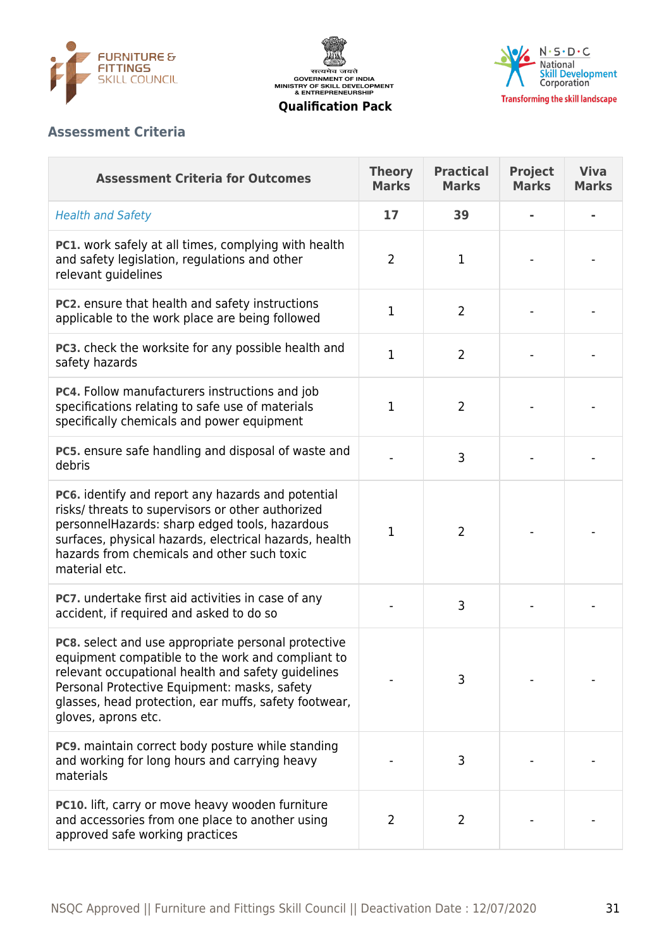





## **Assessment Criteria**

| <b>Assessment Criteria for Outcomes</b>                                                                                                                                                                                                                                                        | <b>Theory</b><br><b>Marks</b> | <b>Practical</b><br><b>Marks</b> | <b>Project</b><br><b>Marks</b> | <b>Viva</b><br><b>Marks</b> |
|------------------------------------------------------------------------------------------------------------------------------------------------------------------------------------------------------------------------------------------------------------------------------------------------|-------------------------------|----------------------------------|--------------------------------|-----------------------------|
| <b>Health and Safety</b>                                                                                                                                                                                                                                                                       | 17                            | 39                               |                                |                             |
| <b>PC1.</b> work safely at all times, complying with health<br>and safety legislation, regulations and other<br>relevant guidelines                                                                                                                                                            | $\overline{2}$                | $\mathbf 1$                      |                                |                             |
| PC2. ensure that health and safety instructions<br>applicable to the work place are being followed                                                                                                                                                                                             | $\mathbf{1}$                  | $\overline{2}$                   |                                |                             |
| PC3. check the worksite for any possible health and<br>safety hazards                                                                                                                                                                                                                          | 1                             | $\overline{2}$                   |                                |                             |
| PC4. Follow manufacturers instructions and job<br>specifications relating to safe use of materials<br>specifically chemicals and power equipment                                                                                                                                               | $\mathbf{1}$                  | $\overline{2}$                   |                                |                             |
| PC5. ensure safe handling and disposal of waste and<br>debris                                                                                                                                                                                                                                  |                               | 3                                |                                |                             |
| PC6. identify and report any hazards and potential<br>risks/ threats to supervisors or other authorized<br>personnelHazards: sharp edged tools, hazardous<br>surfaces, physical hazards, electrical hazards, health<br>hazards from chemicals and other such toxic<br>material etc.            | $\mathbf 1$                   | $\overline{2}$                   |                                |                             |
| PC7. undertake first aid activities in case of any<br>accident, if required and asked to do so                                                                                                                                                                                                 |                               | 3                                |                                |                             |
| PC8. select and use appropriate personal protective<br>equipment compatible to the work and compliant to<br>relevant occupational health and safety guidelines<br>Personal Protective Equipment: masks, safety<br>glasses, head protection, ear muffs, safety footwear,<br>gloves, aprons etc. |                               | 3                                |                                |                             |
| PC9. maintain correct body posture while standing<br>and working for long hours and carrying heavy<br>materials                                                                                                                                                                                |                               | 3                                |                                |                             |
| PC10. lift, carry or move heavy wooden furniture<br>and accessories from one place to another using<br>approved safe working practices                                                                                                                                                         | $\overline{2}$                | 2                                |                                |                             |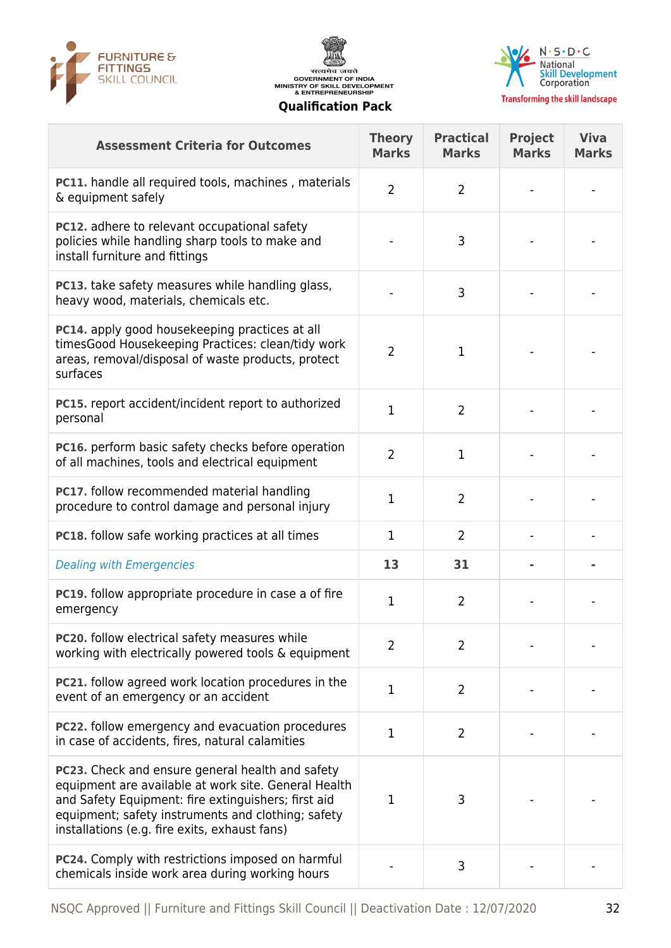





| <b>Assessment Criteria for Outcomes</b>                                                                                                                                                                                                                                       | <b>Theory</b><br><b>Marks</b> | <b>Practical</b><br><b>Marks</b> | <b>Project</b><br><b>Marks</b> | <b>Viva</b><br><b>Marks</b> |
|-------------------------------------------------------------------------------------------------------------------------------------------------------------------------------------------------------------------------------------------------------------------------------|-------------------------------|----------------------------------|--------------------------------|-----------------------------|
| <b>PC11.</b> handle all required tools, machines, materials<br>& equipment safely                                                                                                                                                                                             | $\overline{2}$                | $\overline{2}$                   |                                |                             |
| <b>PC12.</b> adhere to relevant occupational safety<br>policies while handling sharp tools to make and<br>install furniture and fittings                                                                                                                                      |                               | 3                                |                                |                             |
| <b>PC13.</b> take safety measures while handling glass,<br>heavy wood, materials, chemicals etc.                                                                                                                                                                              |                               | 3                                |                                |                             |
| PC14. apply good housekeeping practices at all<br>timesGood Housekeeping Practices: clean/tidy work<br>areas, removal/disposal of waste products, protect<br>surfaces                                                                                                         | $\overline{2}$                | 1                                |                                |                             |
| PC15. report accident/incident report to authorized<br>personal                                                                                                                                                                                                               | 1                             | $\overline{2}$                   |                                |                             |
| PC16. perform basic safety checks before operation<br>of all machines, tools and electrical equipment                                                                                                                                                                         | $\overline{2}$                | $\mathbf{1}$                     |                                |                             |
| PC17. follow recommended material handling<br>procedure to control damage and personal injury                                                                                                                                                                                 | 1                             | $\overline{2}$                   |                                |                             |
| <b>PC18.</b> follow safe working practices at all times                                                                                                                                                                                                                       | $\mathbf 1$                   | $\overline{2}$                   |                                |                             |
| <b>Dealing with Emergencies</b>                                                                                                                                                                                                                                               | 13                            | 31                               |                                |                             |
| PC19. follow appropriate procedure in case a of fire<br>emergency                                                                                                                                                                                                             | 1                             | $\overline{2}$                   |                                |                             |
| <b>PC20.</b> follow electrical safety measures while<br>working with electrically powered tools & equipment                                                                                                                                                                   | 2                             | 2                                |                                |                             |
| <b>PC21.</b> follow agreed work location procedures in the<br>event of an emergency or an accident                                                                                                                                                                            | $\mathbf 1$                   | $\overline{2}$                   |                                |                             |
| <b>PC22.</b> follow emergency and evacuation procedures<br>in case of accidents, fires, natural calamities                                                                                                                                                                    | $\mathbf 1$                   | $\overline{2}$                   |                                |                             |
| <b>PC23.</b> Check and ensure general health and safety<br>equipment are available at work site. General Health<br>and Safety Equipment: fire extinguishers; first aid<br>equipment; safety instruments and clothing; safety<br>installations (e.g. fire exits, exhaust fans) | $\mathbf 1$                   | 3                                |                                |                             |
| PC24. Comply with restrictions imposed on harmful<br>chemicals inside work area during working hours                                                                                                                                                                          |                               | 3                                |                                |                             |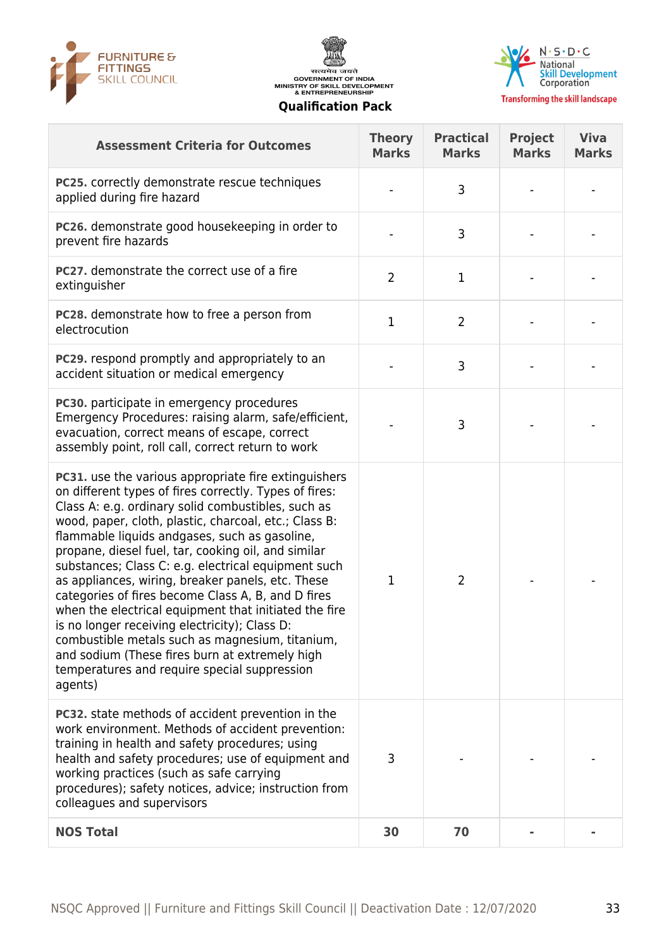





| <b>Assessment Criteria for Outcomes</b>                                                                                                                                                                                                                                                                                                                                                                                                                                                                                                                                                                                                                                                                                                                                           | <b>Theory</b><br><b>Marks</b> | <b>Practical</b><br><b>Marks</b> | <b>Project</b><br><b>Marks</b> | <b>Viva</b><br><b>Marks</b> |
|-----------------------------------------------------------------------------------------------------------------------------------------------------------------------------------------------------------------------------------------------------------------------------------------------------------------------------------------------------------------------------------------------------------------------------------------------------------------------------------------------------------------------------------------------------------------------------------------------------------------------------------------------------------------------------------------------------------------------------------------------------------------------------------|-------------------------------|----------------------------------|--------------------------------|-----------------------------|
| <b>PC25.</b> correctly demonstrate rescue techniques<br>applied during fire hazard                                                                                                                                                                                                                                                                                                                                                                                                                                                                                                                                                                                                                                                                                                |                               | 3                                |                                |                             |
| PC26. demonstrate good housekeeping in order to<br>prevent fire hazards                                                                                                                                                                                                                                                                                                                                                                                                                                                                                                                                                                                                                                                                                                           |                               | 3                                |                                |                             |
| PC27. demonstrate the correct use of a fire<br>extinguisher                                                                                                                                                                                                                                                                                                                                                                                                                                                                                                                                                                                                                                                                                                                       | $\overline{2}$                | 1                                |                                |                             |
| PC28. demonstrate how to free a person from<br>electrocution                                                                                                                                                                                                                                                                                                                                                                                                                                                                                                                                                                                                                                                                                                                      | $\mathbf{1}$                  | $\overline{2}$                   |                                |                             |
| <b>PC29.</b> respond promptly and appropriately to an<br>accident situation or medical emergency                                                                                                                                                                                                                                                                                                                                                                                                                                                                                                                                                                                                                                                                                  |                               | 3                                |                                |                             |
| PC30. participate in emergency procedures<br>Emergency Procedures: raising alarm, safe/efficient,<br>evacuation, correct means of escape, correct<br>assembly point, roll call, correct return to work                                                                                                                                                                                                                                                                                                                                                                                                                                                                                                                                                                            |                               | 3                                |                                |                             |
| PC31. use the various appropriate fire extinguishers<br>on different types of fires correctly. Types of fires:<br>Class A: e.g. ordinary solid combustibles, such as<br>wood, paper, cloth, plastic, charcoal, etc.; Class B:<br>flammable liquids andgases, such as gasoline,<br>propane, diesel fuel, tar, cooking oil, and similar<br>substances; Class C: e.g. electrical equipment such<br>as appliances, wiring, breaker panels, etc. These<br>categories of fires become Class A, B, and D fires<br>when the electrical equipment that initiated the fire<br>is no longer receiving electricity); Class D:<br>combustible metals such as magnesium, titanium,<br>and sodium (These fires burn at extremely high<br>temperatures and require special suppression<br>agents) | 1                             | $\overline{2}$                   |                                |                             |
| <b>PC32.</b> state methods of accident prevention in the<br>work environment. Methods of accident prevention:<br>training in health and safety procedures; using<br>health and safety procedures; use of equipment and<br>working practices (such as safe carrying<br>procedures); safety notices, advice; instruction from<br>colleagues and supervisors                                                                                                                                                                                                                                                                                                                                                                                                                         | 3                             |                                  |                                |                             |
| <b>NOS Total</b>                                                                                                                                                                                                                                                                                                                                                                                                                                                                                                                                                                                                                                                                                                                                                                  | 30                            | 70                               |                                |                             |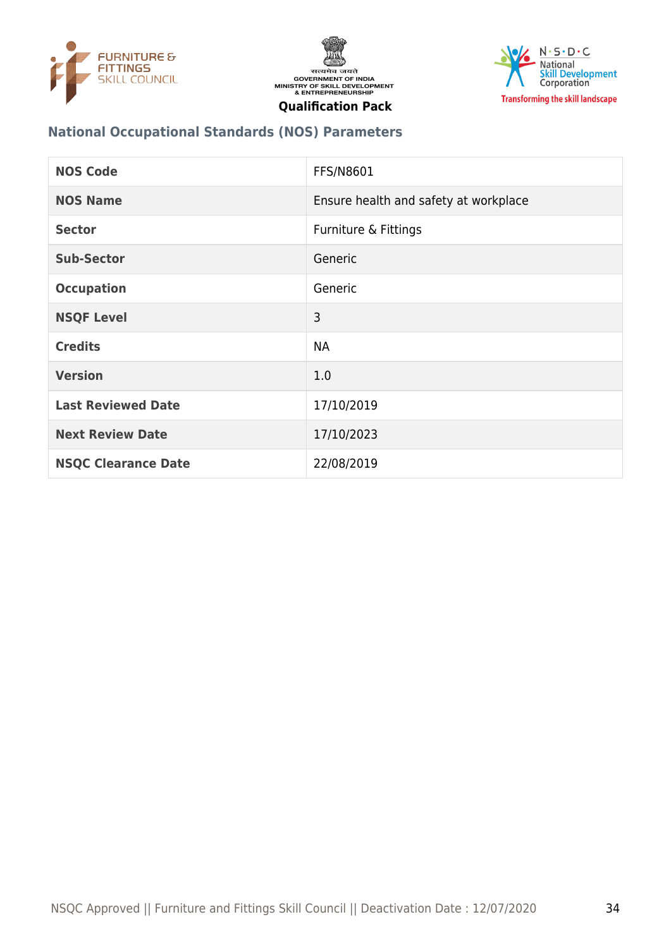





#### **National Occupational Standards (NOS) Parameters**

| <b>NOS Code</b>            | <b>FFS/N8601</b>                      |
|----------------------------|---------------------------------------|
| <b>NOS Name</b>            | Ensure health and safety at workplace |
| <b>Sector</b>              | Furniture & Fittings                  |
| <b>Sub-Sector</b>          | Generic                               |
| <b>Occupation</b>          | Generic                               |
| <b>NSQF Level</b>          | 3                                     |
| <b>Credits</b>             | <b>NA</b>                             |
| <b>Version</b>             | 1.0                                   |
| <b>Last Reviewed Date</b>  | 17/10/2019                            |
| <b>Next Review Date</b>    | 17/10/2023                            |
| <b>NSQC Clearance Date</b> | 22/08/2019                            |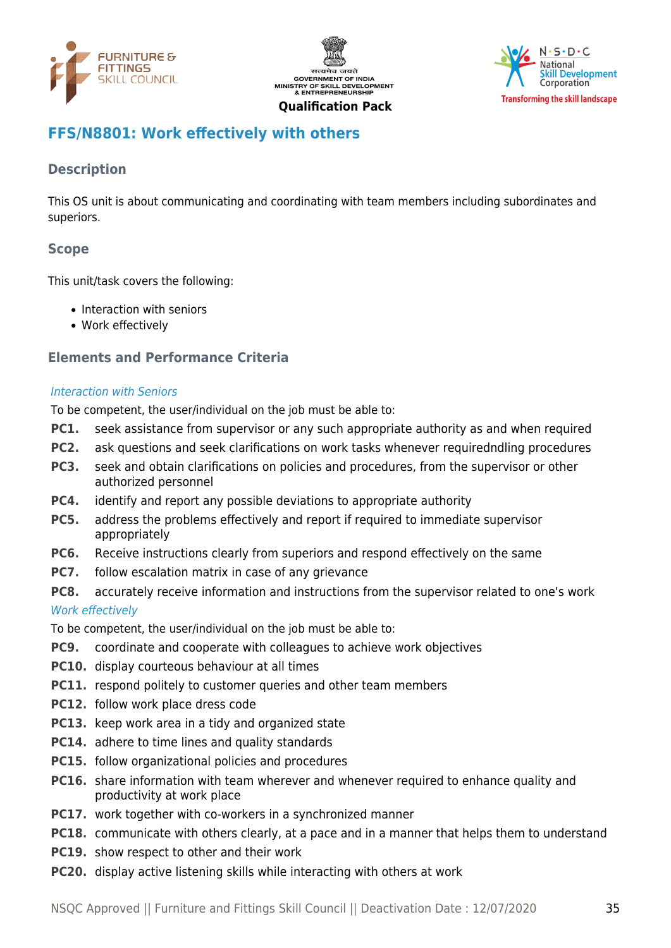





## <span id="page-34-0"></span>**FFS/N8801: Work effectively with others**

#### **Description**

This OS unit is about communicating and coordinating with team members including subordinates and superiors.

#### **Scope**

This unit/task covers the following:

- Interaction with seniors
- Work effectively

#### **Elements and Performance Criteria**

#### Interaction with Seniors

To be competent, the user/individual on the job must be able to:

- **PC1.** seek assistance from supervisor or any such appropriate authority as and when required
- **PC2.** ask questions and seek clarifications on work tasks whenever requiredndling procedures
- **PC3.** seek and obtain clarifications on policies and procedures, from the supervisor or other authorized personnel
- **PC4.** identify and report any possible deviations to appropriate authority
- **PC5.** address the problems effectively and report if required to immediate supervisor appropriately
- **PC6.** Receive instructions clearly from superiors and respond effectively on the same
- **PC7.** follow escalation matrix in case of any grievance
- **PC8.** accurately receive information and instructions from the supervisor related to one's work

#### Work effectively

To be competent, the user/individual on the job must be able to:

- **PC9.** coordinate and cooperate with colleagues to achieve work objectives
- **PC10.** display courteous behaviour at all times
- **PC11.** respond politely to customer queries and other team members
- **PC12.** follow work place dress code
- **PC13.** keep work area in a tidy and organized state
- **PC14.** adhere to time lines and quality standards
- **PC15.** follow organizational policies and procedures
- **PC16.** share information with team wherever and whenever required to enhance quality and productivity at work place
- **PC17.** work together with co-workers in a synchronized manner
- **PC18.** communicate with others clearly, at a pace and in a manner that helps them to understand
- **PC19.** show respect to other and their work
- **PC20.** display active listening skills while interacting with others at work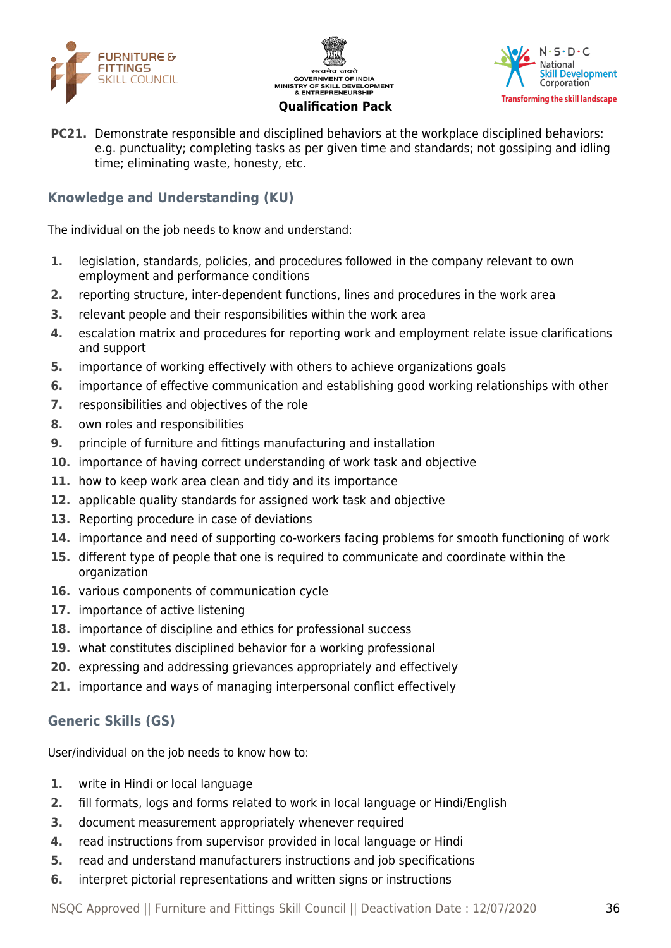





**PC21.** Demonstrate responsible and disciplined behaviors at the workplace disciplined behaviors: e.g. punctuality; completing tasks as per given time and standards; not gossiping and idling time; eliminating waste, honesty, etc.

#### **Knowledge and Understanding (KU)**

The individual on the job needs to know and understand:

- **1.** legislation, standards, policies, and procedures followed in the company relevant to own employment and performance conditions
- **2.** reporting structure, inter-dependent functions, lines and procedures in the work area
- **3.** relevant people and their responsibilities within the work area
- **4.** escalation matrix and procedures for reporting work and employment relate issue clarifications and support
- **5.** importance of working effectively with others to achieve organizations goals
- **6.** importance of effective communication and establishing good working relationships with other
- **7.** responsibilities and objectives of the role
- **8.** own roles and responsibilities
- **9.** principle of furniture and fittings manufacturing and installation
- **10.** importance of having correct understanding of work task and objective
- **11.** how to keep work area clean and tidy and its importance
- **12.** applicable quality standards for assigned work task and objective
- **13.** Reporting procedure in case of deviations
- **14.** importance and need of supporting co-workers facing problems for smooth functioning of work
- **15.** different type of people that one is required to communicate and coordinate within the organization
- **16.** various components of communication cycle
- **17.** importance of active listening
- **18.** importance of discipline and ethics for professional success
- **19.** what constitutes disciplined behavior for a working professional
- **20.** expressing and addressing grievances appropriately and effectively
- **21.** importance and ways of managing interpersonal conflict effectively

#### **Generic Skills (GS)**

User/individual on the job needs to know how to:

- **1.** write in Hindi or local language
- **2.** fill formats, logs and forms related to work in local language or Hindi/English
- **3.** document measurement appropriately whenever required
- **4.** read instructions from supervisor provided in local language or Hindi
- **5.** read and understand manufacturers instructions and job specifications
- **6.** interpret pictorial representations and written signs or instructions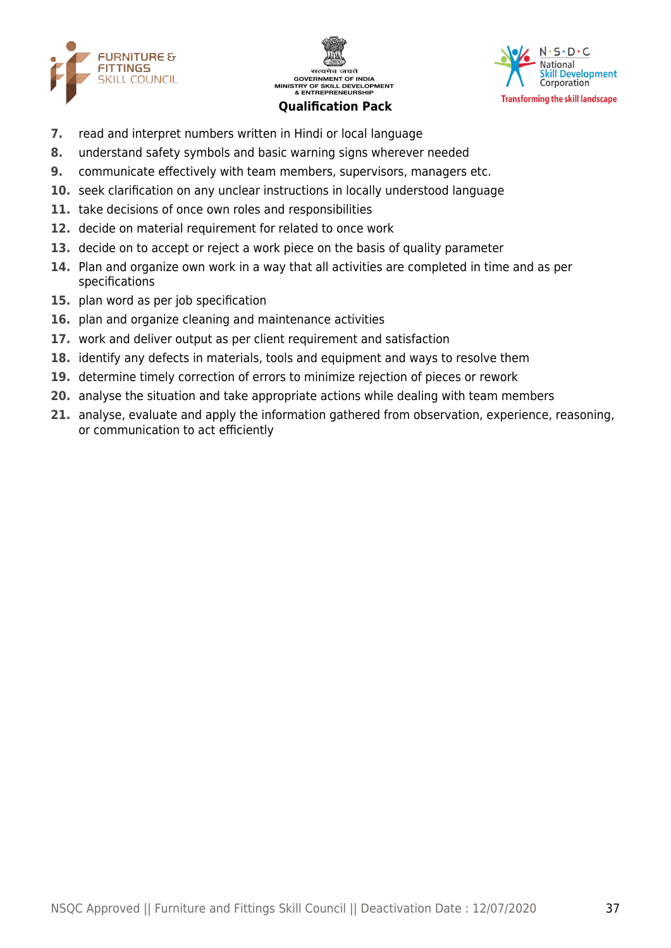





- **7.** read and interpret numbers written in Hindi or local language
- **8.** understand safety symbols and basic warning signs wherever needed
- **9.** communicate effectively with team members, supervisors, managers etc.
- **10.** seek clarification on any unclear instructions in locally understood language
- **11.** take decisions of once own roles and responsibilities
- **12.** decide on material requirement for related to once work
- **13.** decide on to accept or reject a work piece on the basis of quality parameter
- **14.** Plan and organize own work in a way that all activities are completed in time and as per specifications
- **15.** plan word as per job specification
- **16.** plan and organize cleaning and maintenance activities
- **17.** work and deliver output as per client requirement and satisfaction
- **18.** identify any defects in materials, tools and equipment and ways to resolve them
- **19.** determine timely correction of errors to minimize rejection of pieces or rework
- **20.** analyse the situation and take appropriate actions while dealing with team members
- **21.** analyse, evaluate and apply the information gathered from observation, experience, reasoning, or communication to act efficiently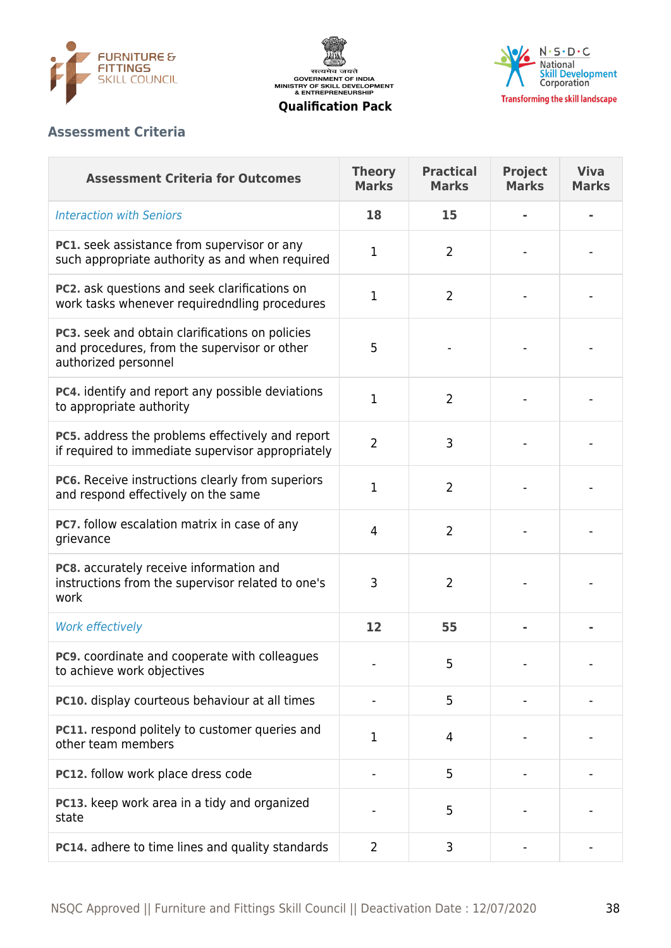

सत्यमेव जयते<br>GOVERNMENT OF INDIA<br>MINISTRY OF SKILL DEVELOPMENT<br>& ENTREPRENEURSHIP



**Qualification Pack**

#### **Assessment Criteria**

| <b>Assessment Criteria for Outcomes</b>                                                                                 | <b>Theory</b><br><b>Marks</b> | <b>Practical</b><br><b>Marks</b> | <b>Project</b><br><b>Marks</b> | <b>Viva</b><br><b>Marks</b> |
|-------------------------------------------------------------------------------------------------------------------------|-------------------------------|----------------------------------|--------------------------------|-----------------------------|
| <b>Interaction with Seniors</b>                                                                                         | 18                            | 15                               |                                |                             |
| PC1. seek assistance from supervisor or any<br>such appropriate authority as and when required                          | 1                             | $\overline{2}$                   |                                |                             |
| PC2. ask questions and seek clarifications on<br>work tasks whenever requiredndling procedures                          | 1                             | $\overline{2}$                   |                                |                             |
| PC3. seek and obtain clarifications on policies<br>and procedures, from the supervisor or other<br>authorized personnel | 5                             |                                  |                                |                             |
| PC4. identify and report any possible deviations<br>to appropriate authority                                            | 1                             | $\overline{2}$                   |                                |                             |
| PC5. address the problems effectively and report<br>if required to immediate supervisor appropriately                   | $\overline{2}$                | 3                                |                                |                             |
| PC6. Receive instructions clearly from superiors<br>and respond effectively on the same                                 | 1                             | $\overline{2}$                   |                                |                             |
| PC7. follow escalation matrix in case of any<br>grievance                                                               | $\overline{4}$                | $\overline{2}$                   |                                |                             |
| PC8. accurately receive information and<br>instructions from the supervisor related to one's<br>work                    | 3                             | $\overline{2}$                   |                                |                             |
| Work effectively                                                                                                        | 12                            | 55                               |                                |                             |
| PC9. coordinate and cooperate with colleagues<br>to achieve work objectives                                             |                               | 5                                |                                |                             |
| PC10. display courteous behaviour at all times                                                                          |                               | 5                                |                                |                             |
| PC11. respond politely to customer queries and<br>other team members                                                    | 1                             | 4                                |                                |                             |
| PC12. follow work place dress code                                                                                      |                               | 5                                |                                |                             |
| PC13. keep work area in a tidy and organized<br>state                                                                   |                               | 5                                |                                |                             |
| PC14. adhere to time lines and quality standards                                                                        | $\overline{2}$                | 3                                |                                |                             |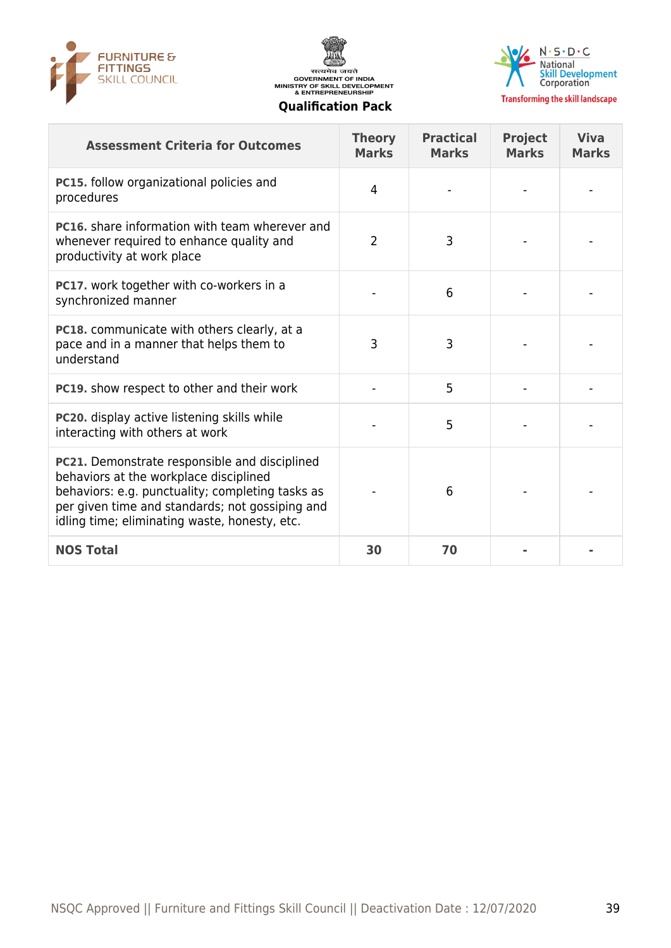





**Transforming the skill landscape** 

| <b>Assessment Criteria for Outcomes</b>                                                                                                                                                                                                         | <b>Theory</b><br><b>Marks</b> | <b>Practical</b><br><b>Marks</b> | <b>Project</b><br><b>Marks</b> | <b>Viva</b><br><b>Marks</b> |
|-------------------------------------------------------------------------------------------------------------------------------------------------------------------------------------------------------------------------------------------------|-------------------------------|----------------------------------|--------------------------------|-----------------------------|
| PC15. follow organizational policies and<br>procedures                                                                                                                                                                                          | 4                             |                                  |                                |                             |
| <b>PC16.</b> share information with team wherever and<br>whenever required to enhance quality and<br>productivity at work place                                                                                                                 | $\overline{2}$                | 3                                |                                |                             |
| PC17. work together with co-workers in a<br>synchronized manner                                                                                                                                                                                 |                               | 6                                |                                |                             |
| PC18. communicate with others clearly, at a<br>pace and in a manner that helps them to<br>understand                                                                                                                                            | 3                             | 3                                |                                |                             |
| PC19. show respect to other and their work                                                                                                                                                                                                      |                               | 5                                |                                |                             |
| PC20. display active listening skills while<br>interacting with others at work                                                                                                                                                                  |                               | 5                                |                                |                             |
| PC21. Demonstrate responsible and disciplined<br>behaviors at the workplace disciplined<br>behaviors: e.g. punctuality; completing tasks as<br>per given time and standards; not gossiping and<br>idling time; eliminating waste, honesty, etc. |                               | 6                                |                                |                             |
| <b>NOS Total</b>                                                                                                                                                                                                                                | 30                            | 70                               |                                |                             |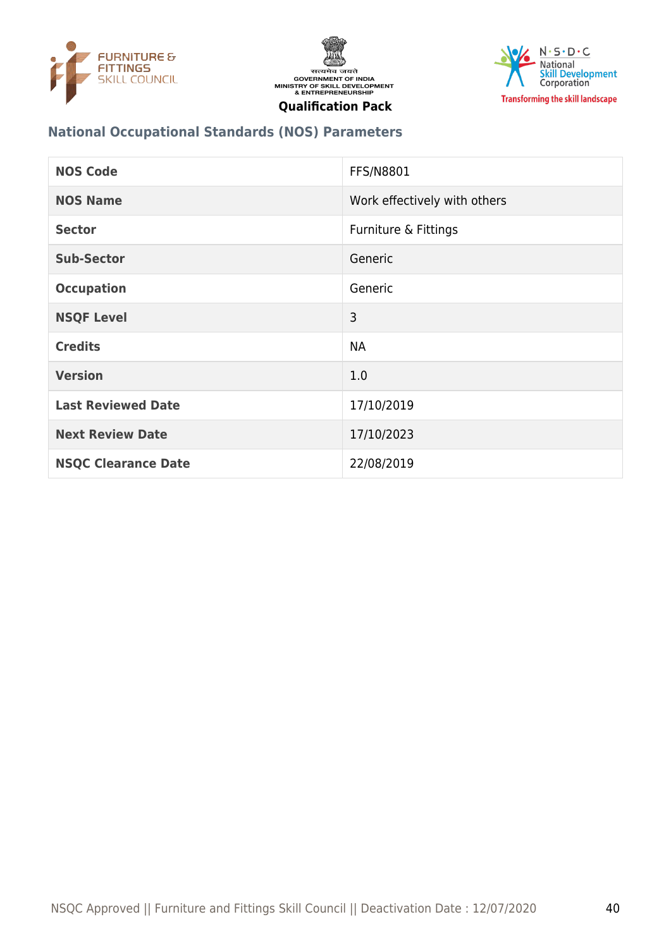





#### **National Occupational Standards (NOS) Parameters**

| <b>NOS Code</b>            | <b>FFS/N8801</b>             |
|----------------------------|------------------------------|
| <b>NOS Name</b>            | Work effectively with others |
| <b>Sector</b>              | Furniture & Fittings         |
| <b>Sub-Sector</b>          | Generic                      |
| <b>Occupation</b>          | Generic                      |
| <b>NSQF Level</b>          | 3                            |
| <b>Credits</b>             | <b>NA</b>                    |
| <b>Version</b>             | 1.0                          |
| <b>Last Reviewed Date</b>  | 17/10/2019                   |
| <b>Next Review Date</b>    | 17/10/2023                   |
| <b>NSQC Clearance Date</b> | 22/08/2019                   |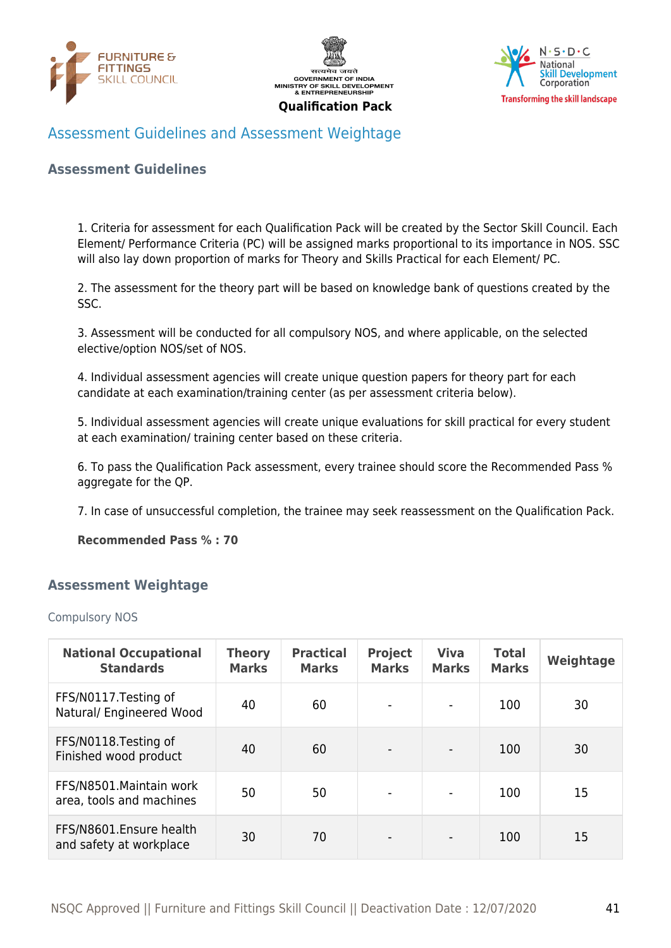





#### <span id="page-40-0"></span>Assessment Guidelines and Assessment Weightage

#### **Assessment Guidelines**

1. Criteria for assessment for each Qualification Pack will be created by the Sector Skill Council. Each Element/ Performance Criteria (PC) will be assigned marks proportional to its importance in NOS. SSC will also lay down proportion of marks for Theory and Skills Practical for each Element/ PC.

2. The assessment for the theory part will be based on knowledge bank of questions created by the SSC.

3. Assessment will be conducted for all compulsory NOS, and where applicable, on the selected elective/option NOS/set of NOS.

4. Individual assessment agencies will create unique question papers for theory part for each candidate at each examination/training center (as per assessment criteria below).

5. Individual assessment agencies will create unique evaluations for skill practical for every student at each examination/ training center based on these criteria.

6. To pass the Qualification Pack assessment, every trainee should score the Recommended Pass % aggregate for the QP.

7. In case of unsuccessful completion, the trainee may seek reassessment on the Qualification Pack.

**Recommended Pass % : 70**

#### <span id="page-40-1"></span>**Assessment Weightage**

#### Compulsory NOS

| <b>National Occupational</b><br><b>Standards</b>     | <b>Theory</b><br><b>Marks</b> | <b>Practical</b><br><b>Marks</b> | <b>Project</b><br><b>Marks</b> | <b>Viva</b><br><b>Marks</b> | <b>Total</b><br><b>Marks</b> | Weightage |
|------------------------------------------------------|-------------------------------|----------------------------------|--------------------------------|-----------------------------|------------------------------|-----------|
| FFS/N0117. Testing of<br>Natural/ Engineered Wood    | 40                            | 60                               |                                |                             | 100                          | 30        |
| FFS/N0118. Testing of<br>Finished wood product       | 40                            | 60                               |                                |                             | 100                          | 30        |
| FFS/N8501. Maintain work<br>area, tools and machines | 50                            | 50                               | $\overline{\phantom{a}}$       |                             | 100                          | 15        |
| FFS/N8601.Ensure health<br>and safety at workplace   | 30                            | 70                               |                                |                             | 100                          | 15        |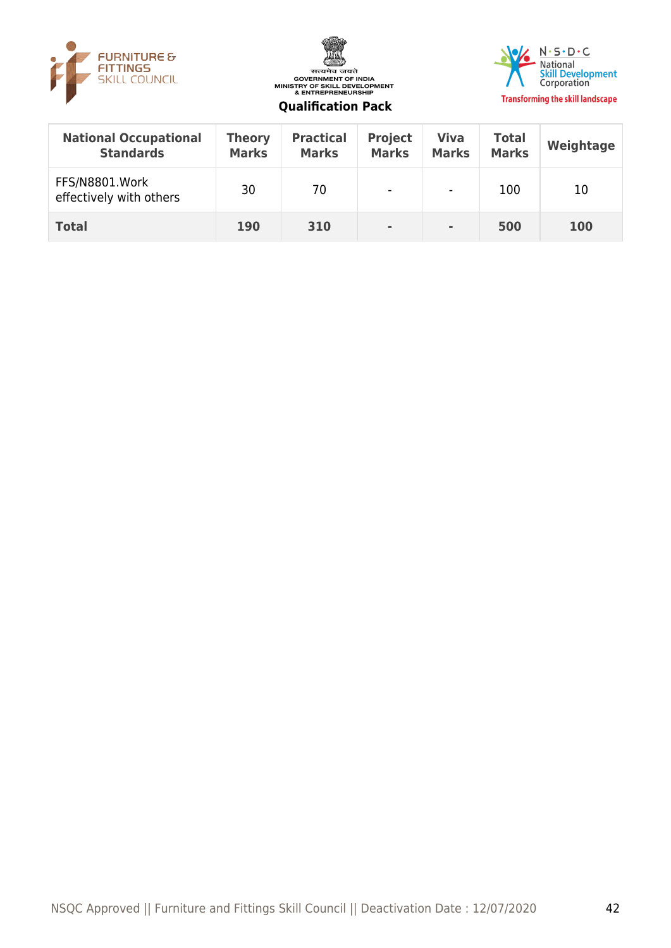





| <b>National Occupational</b><br><b>Standards</b> | <b>Theory</b><br><b>Marks</b> | <b>Practical</b><br><b>Marks</b> | <b>Project</b><br><b>Marks</b> | <b>Viva</b><br><b>Marks</b> | <b>Total</b><br><b>Marks</b> | Weightage |
|--------------------------------------------------|-------------------------------|----------------------------------|--------------------------------|-----------------------------|------------------------------|-----------|
| FFS/N8801.Work<br>effectively with others        | 30                            | 70                               | $\blacksquare$                 | $\blacksquare$              | 100                          | 10        |
| <b>Total</b>                                     | <b>190</b>                    | 310                              | $\blacksquare$                 | $\blacksquare$              | 500                          | 100       |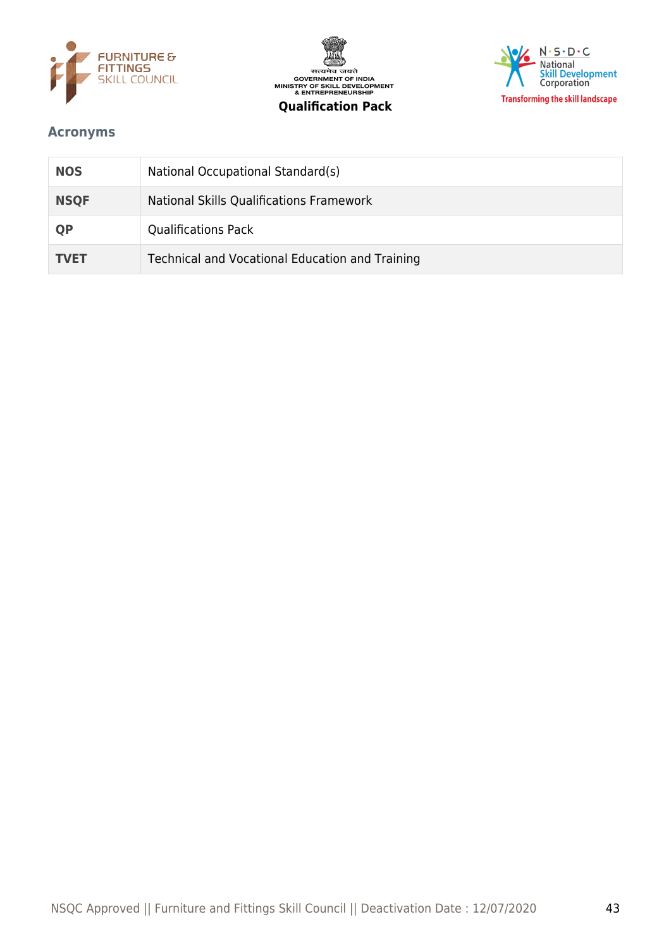



# $N \cdot S \cdot D \cdot C$ National<br>Skill Development<br>Corporation **Transforming the skill landscape**

#### <span id="page-42-0"></span>**Acronyms**

| <b>NOS</b>  | National Occupational Standard(s)               |
|-------------|-------------------------------------------------|
| <b>NSQF</b> | National Skills Qualifications Framework        |
| <b>QP</b>   | <b>Qualifications Pack</b>                      |
| <b>TVET</b> | Technical and Vocational Education and Training |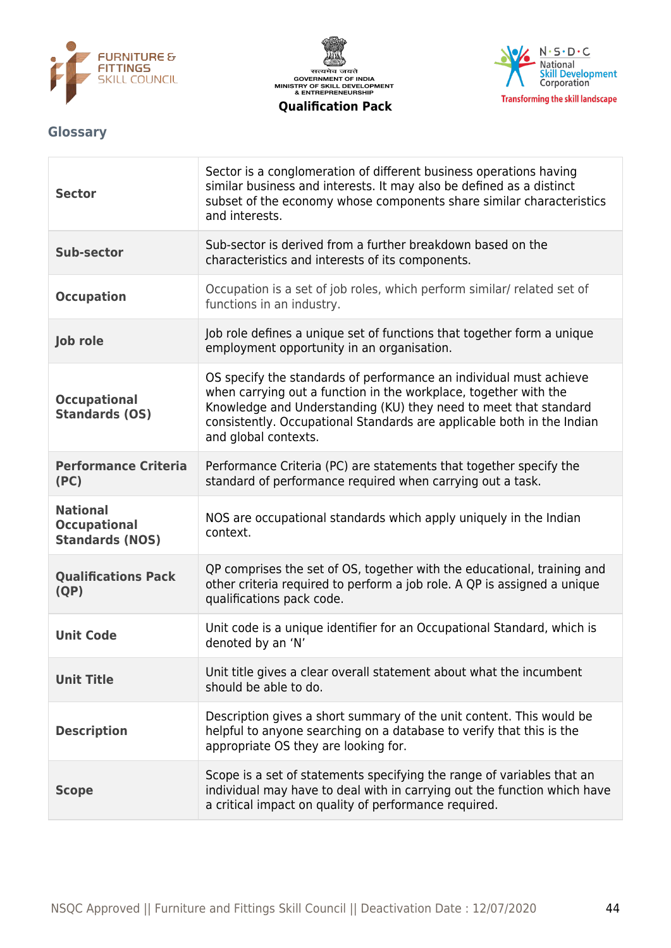





#### <span id="page-43-0"></span>**Glossary**

| <b>Sector</b>                                                    | Sector is a conglomeration of different business operations having<br>similar business and interests. It may also be defined as a distinct<br>subset of the economy whose components share similar characteristics<br>and interests.                                                                         |
|------------------------------------------------------------------|--------------------------------------------------------------------------------------------------------------------------------------------------------------------------------------------------------------------------------------------------------------------------------------------------------------|
| <b>Sub-sector</b>                                                | Sub-sector is derived from a further breakdown based on the<br>characteristics and interests of its components.                                                                                                                                                                                              |
| <b>Occupation</b>                                                | Occupation is a set of job roles, which perform similar/ related set of<br>functions in an industry.                                                                                                                                                                                                         |
| Job role                                                         | Job role defines a unique set of functions that together form a unique<br>employment opportunity in an organisation.                                                                                                                                                                                         |
| <b>Occupational</b><br><b>Standards (OS)</b>                     | OS specify the standards of performance an individual must achieve<br>when carrying out a function in the workplace, together with the<br>Knowledge and Understanding (KU) they need to meet that standard<br>consistently. Occupational Standards are applicable both in the Indian<br>and global contexts. |
| <b>Performance Criteria</b><br>(PC)                              | Performance Criteria (PC) are statements that together specify the<br>standard of performance required when carrying out a task.                                                                                                                                                                             |
| <b>National</b><br><b>Occupational</b><br><b>Standards (NOS)</b> | NOS are occupational standards which apply uniquely in the Indian<br>context.                                                                                                                                                                                                                                |
| <b>Qualifications Pack</b><br>(QP)                               | QP comprises the set of OS, together with the educational, training and<br>other criteria required to perform a job role. A QP is assigned a unique<br>qualifications pack code.                                                                                                                             |
| <b>Unit Code</b>                                                 | Unit code is a unique identifier for an Occupational Standard, which is<br>denoted by an 'N'                                                                                                                                                                                                                 |
| <b>Unit Title</b>                                                | Unit title gives a clear overall statement about what the incumbent<br>should be able to do.                                                                                                                                                                                                                 |
| <b>Description</b>                                               | Description gives a short summary of the unit content. This would be<br>helpful to anyone searching on a database to verify that this is the<br>appropriate OS they are looking for.                                                                                                                         |
| <b>Scope</b>                                                     | Scope is a set of statements specifying the range of variables that an<br>individual may have to deal with in carrying out the function which have<br>a critical impact on quality of performance required.                                                                                                  |